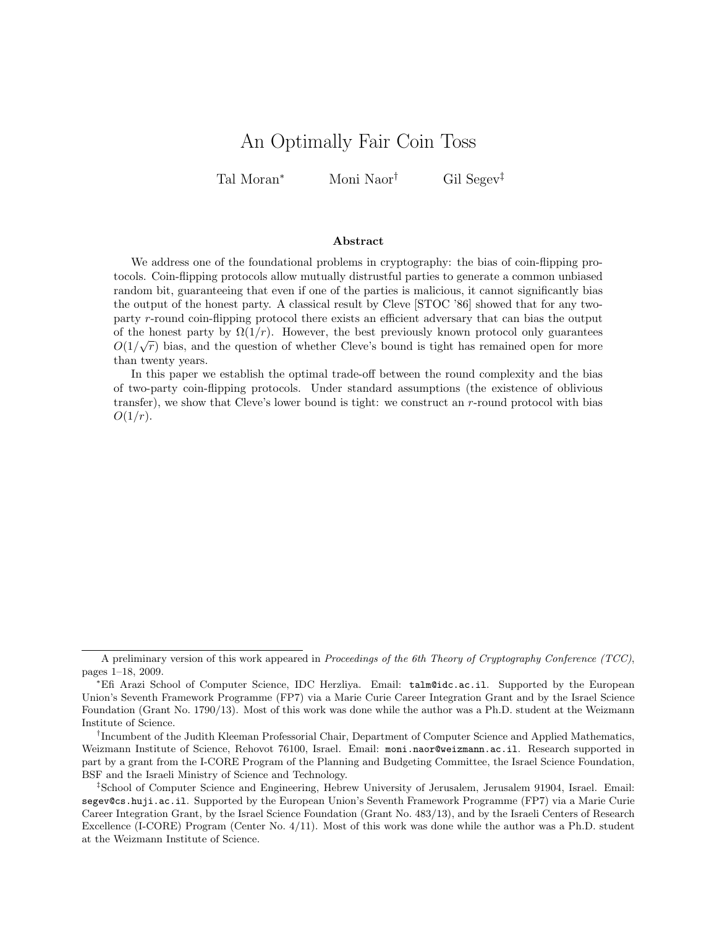# An Optimally Fair Coin Toss

Tal Moran*<sup>∗</sup>* Moni Naor*†* Gil Segev*‡*

### **Abstract**

We address one of the foundational problems in cryptography: the bias of coin-flipping protocols. Coin-flipping protocols allow mutually distrustful parties to generate a common unbiased random bit, guaranteeing that even if one of the parties is malicious, it cannot significantly bias the output of the honest party. A classical result by Cleve [STOC '86] showed that for any twoparty *r*-round coin-flipping protocol there exists an efficient adversary that can bias the output of the honest party by  $\Omega(1/r)$ . However, the best previously known protocol only guarantees  $O(1/\sqrt{r})$  bias, and the question of whether Cleve's bound is tight has remained open for more than twenty years.

In this paper we establish the optimal trade-off between the round complexity and the bias of two-party coin-flipping protocols. Under standard assumptions (the existence of oblivious transfer), we show that Cleve's lower bound is tight: we construct an *r*-round protocol with bias *O*(1*/r*).

A preliminary version of this work appeared in *Proceedings of the 6th Theory of Cryptography Conference (TCC)*, pages 1–18, 2009.

*<sup>∗</sup>*Efi Arazi School of Computer Science, IDC Herzliya. Email: talm@idc.ac.il. Supported by the European Union's Seventh Framework Programme (FP7) via a Marie Curie Career Integration Grant and by the Israel Science Foundation (Grant No. 1790/13). Most of this work was done while the author was a Ph.D. student at the Weizmann Institute of Science.

<sup>&</sup>lt;sup>†</sup>Incumbent of the Judith Kleeman Professorial Chair, Department of Computer Science and Applied Mathematics, Weizmann Institute of Science, Rehovot 76100, Israel. Email: moni.naor@weizmann.ac.il. Research supported in part by a grant from the I-CORE Program of the Planning and Budgeting Committee, the Israel Science Foundation, BSF and the Israeli Ministry of Science and Technology.

*<sup>‡</sup>*School of Computer Science and Engineering, Hebrew University of Jerusalem, Jerusalem 91904, Israel. Email: segev@cs.huji.ac.il. Supported by the European Union's Seventh Framework Programme (FP7) via a Marie Curie Career Integration Grant, by the Israel Science Foundation (Grant No. 483/13), and by the Israeli Centers of Research Excellence (I-CORE) Program (Center No. 4/11). Most of this work was done while the author was a Ph.D. student at the Weizmann Institute of Science.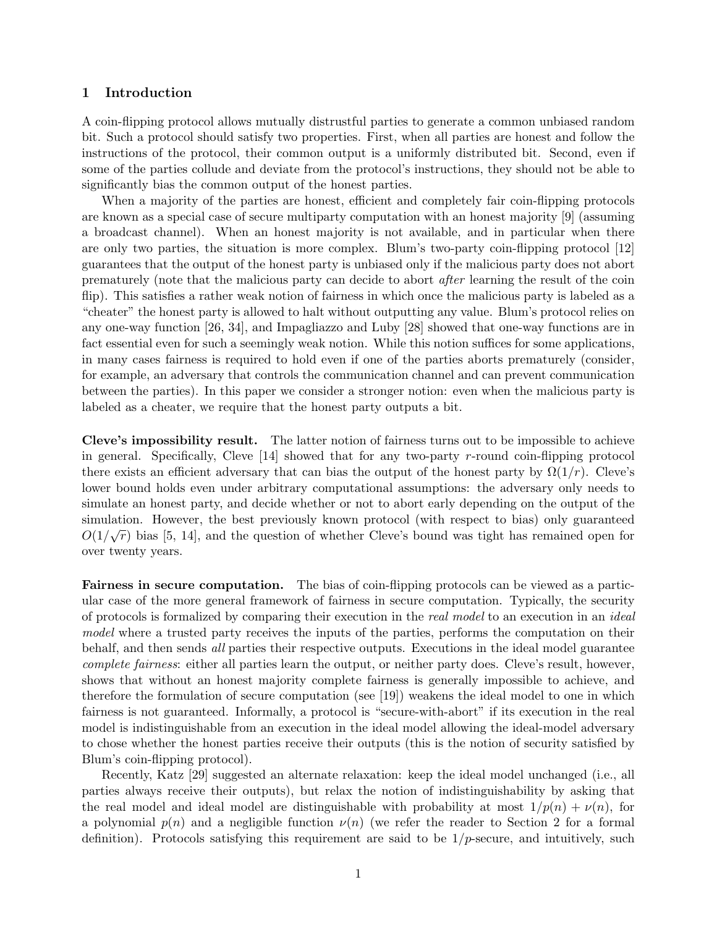## **1 Introduction**

A coin-flipping protocol allows mutually distrustful parties to generate a common unbiased random bit. Such a protocol should satisfy two properties. First, when all parties are honest and follow the instructions of the protocol, their common output is a uniformly distributed bit. Second, even if some of the parties collude and deviate from the protocol's instructions, they should not be able to significantly bias the common output of the honest parties.

When a majority of the parties are honest, efficient and completely fair coin-flipping protocols are known as a special case of secure multiparty computation with an honest majority [9] (assuming a broadcast channel). When an honest majority is not available, and in particular when there are only two parties, the situation is more complex. Blum's two-party coin-flipping protocol [12] guarantees that the output of the honest party is unbiased only if the malicious party does not abort prematurely (note that the malicious party can decide to abort *after* learning the result of the coin flip). This satisfies a rather weak notion of fairness in which once the malicious party is labeled as a "cheater" the honest party is allowed to halt without outputting any value. Blum's protocol relies on any one-way function [26, 34], and Impagliazzo and Luby [28] showed that one-way functions are in fact essential even for such a seemingly weak notion. While this notion suffices for some applications, in many cases fairness is required to hold even if one of the parties aborts prematurely (consider, for example, an adversary that controls the communication channel and can prevent communication between the parties). In this paper we consider a stronger notion: even when the malicious party is labeled as a cheater, we require that the honest party outputs a bit.

**Cleve's impossibility result.** The latter notion of fairness turns out to be impossible to achieve in general. Specifically, Cleve [14] showed that for any two-party *r*-round coin-flipping protocol there exists an efficient adversary that can bias the output of the honest party by  $\Omega(1/r)$ . Cleve's lower bound holds even under arbitrary computational assumptions: the adversary only needs to simulate an honest party, and decide whether or not to abort early depending on the output of the simulation. However, the best previously known protocol (with respect to bias) only guaranteed<br> *∧*<sup></sup> *∧ l* <sup>*l*</sup> <sup>*l*</sup> <sup>*l*</sup> <sup>*l*</sup> <sup>*l*</sup> <sup>*l*</sup> <sup>*l*</sup> <sup>*l*</sup> *l* <sup>*l*</sup> <sup>*l*</sup> *l l i l l l l l l l l l*  $O(1/\sqrt{r})$  bias [5, 14], and the question of whether Cleve's bound was tight has remained open for over twenty years.

**Fairness in secure computation.** The bias of coin-flipping protocols can be viewed as a particular case of the more general framework of fairness in secure computation. Typically, the security of protocols is formalized by comparing their execution in the *real model* to an execution in an *ideal model* where a trusted party receives the inputs of the parties, performs the computation on their behalf, and then sends *all* parties their respective outputs. Executions in the ideal model guarantee *complete fairness*: either all parties learn the output, or neither party does. Cleve's result, however, shows that without an honest majority complete fairness is generally impossible to achieve, and therefore the formulation of secure computation (see [19]) weakens the ideal model to one in which fairness is not guaranteed. Informally, a protocol is "secure-with-abort" if its execution in the real model is indistinguishable from an execution in the ideal model allowing the ideal-model adversary to chose whether the honest parties receive their outputs (this is the notion of security satisfied by Blum's coin-flipping protocol).

Recently, Katz [29] suggested an alternate relaxation: keep the ideal model unchanged (i.e., all parties always receive their outputs), but relax the notion of indistinguishability by asking that the real model and ideal model are distinguishable with probability at most  $1/p(n) + \nu(n)$ , for a polynomial  $p(n)$  and a negligible function  $\nu(n)$  (we refer the reader to Section 2 for a formal definition). Protocols satisfying this requirement are said to be 1*/p*-secure, and intuitively, such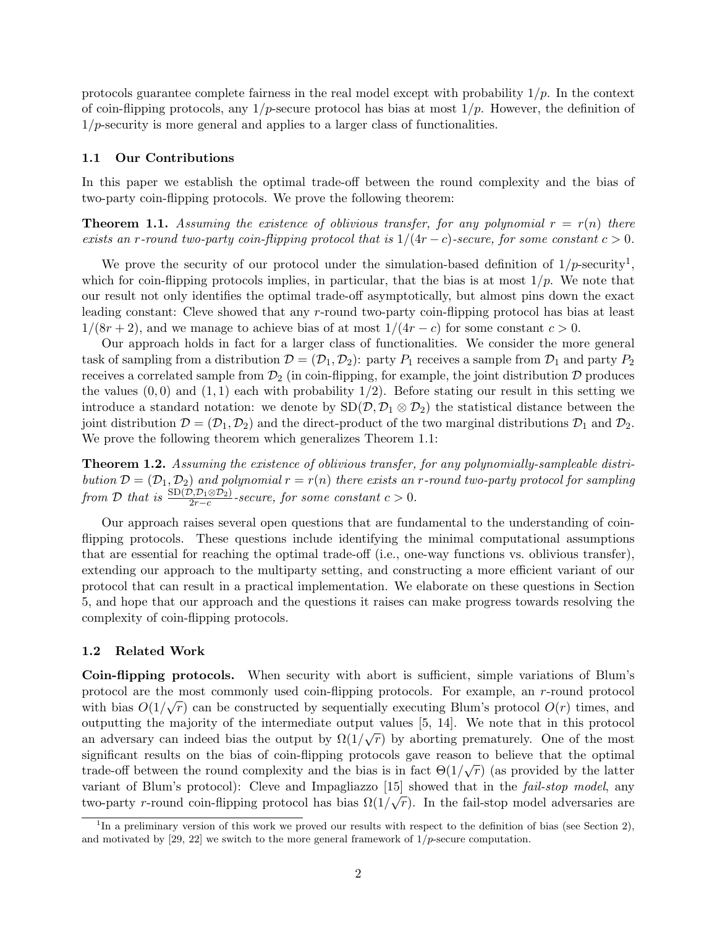protocols guarantee complete fairness in the real model except with probability 1*/p*. In the context of coin-flipping protocols, any 1*/p*-secure protocol has bias at most 1*/p*. However, the definition of 1*/p*-security is more general and applies to a larger class of functionalities.

#### **1.1 Our Contributions**

In this paper we establish the optimal trade-off between the round complexity and the bias of two-party coin-flipping protocols. We prove the following theorem:

**Theorem 1.1.** Assuming the existence of oblivious transfer, for any polynomial  $r = r(n)$  there *exists an r-round two-party coin-flipping protocol that is*  $1/(4r - c)$ -secure, for some constant  $c > 0$ .

We prove the security of our protocol under the simulation-based definition of  $1/p$ -security<sup>1</sup>, which for coin-flipping protocols implies, in particular, that the bias is at most  $1/p$ . We note that our result not only identifies the optimal trade-off asymptotically, but almost pins down the exact leading constant: Cleve showed that any *r*-round two-party coin-flipping protocol has bias at least  $1/(8r+2)$ , and we manage to achieve bias of at most  $1/(4r-c)$  for some constant  $c > 0$ .

Our approach holds in fact for a larger class of functionalities. We consider the more general task of sampling from a distribution  $\mathcal{D} = (\mathcal{D}_1, \mathcal{D}_2)$ : party  $P_1$  receives a sample from  $\mathcal{D}_1$  and party  $P_2$ receives a correlated sample from  $\mathcal{D}_2$  (in coin-flipping, for example, the joint distribution  $\mathcal D$  produces the values  $(0,0)$  and  $(1,1)$  each with probability  $1/2$ ). Before stating our result in this setting we introduce a standard notation: we denote by  $SD(\mathcal{D}, \mathcal{D}_1 \otimes \mathcal{D}_2)$  the statistical distance between the joint distribution  $\mathcal{D} = (\mathcal{D}_1, \mathcal{D}_2)$  and the direct-product of the two marginal distributions  $\mathcal{D}_1$  and  $\mathcal{D}_2$ . We prove the following theorem which generalizes Theorem 1.1:

**Theorem 1.2.** *Assuming the existence of oblivious transfer, for any polynomially-sampleable distribution*  $\mathcal{D} = (\mathcal{D}_1, \mathcal{D}_2)$  *and polynomial*  $r = r(n)$  *there exists an r-round two-party protocol for sampling from D that is*  $\frac{\text{SD}(\mathcal{D}, \mathcal{D}_1 \otimes \mathcal{D}_2)}{2r - c}$ -secure, for some constant  $c > 0$ .

Our approach raises several open questions that are fundamental to the understanding of coinflipping protocols. These questions include identifying the minimal computational assumptions that are essential for reaching the optimal trade-off (i.e., one-way functions vs. oblivious transfer), extending our approach to the multiparty setting, and constructing a more efficient variant of our protocol that can result in a practical implementation. We elaborate on these questions in Section 5, and hope that our approach and the questions it raises can make progress towards resolving the complexity of coin-flipping protocols.

#### **1.2 Related Work**

**Coin-flipping protocols.** When security with abort is sufficient, simple variations of Blum's protocol are the most commonly used coin-flipping protocols. For example, an *r*-round protocol protocol are the most commonly used com-implying protocols. For example, an *r*-round protocol  $O(r)$  times, and with bias  $O(1/\sqrt{r})$  can be constructed by sequentially executing Blum's protocol  $O(r)$  times, and outputting the majority of the intermediate output values [5, 14]. We note that in this protocol an adversary can indeed bias the output by  $\Omega(1/\sqrt{r})$  by aborting prematurely. One of the most significant results on the bias of coin-flipping protocols gave reason to believe that the optimal *√* trade-off between the round complexity and the bias is in fact  $\Theta(1/\sqrt{r})$  (as provided by the latter variant of Blum's protocol): Cleve and Impagliazzo [15] showed that in the *fail-stop model*, any *√* two-party *r*-round coin-flipping protocol has bias  $\Omega(1/\sqrt{r})$ . In the fail-stop model adversaries are

<sup>&</sup>lt;sup>1</sup>In a preliminary version of this work we proved our results with respect to the definition of bias (see Section 2), and motivated by [29, 22] we switch to the more general framework of  $1/p$ -secure computation.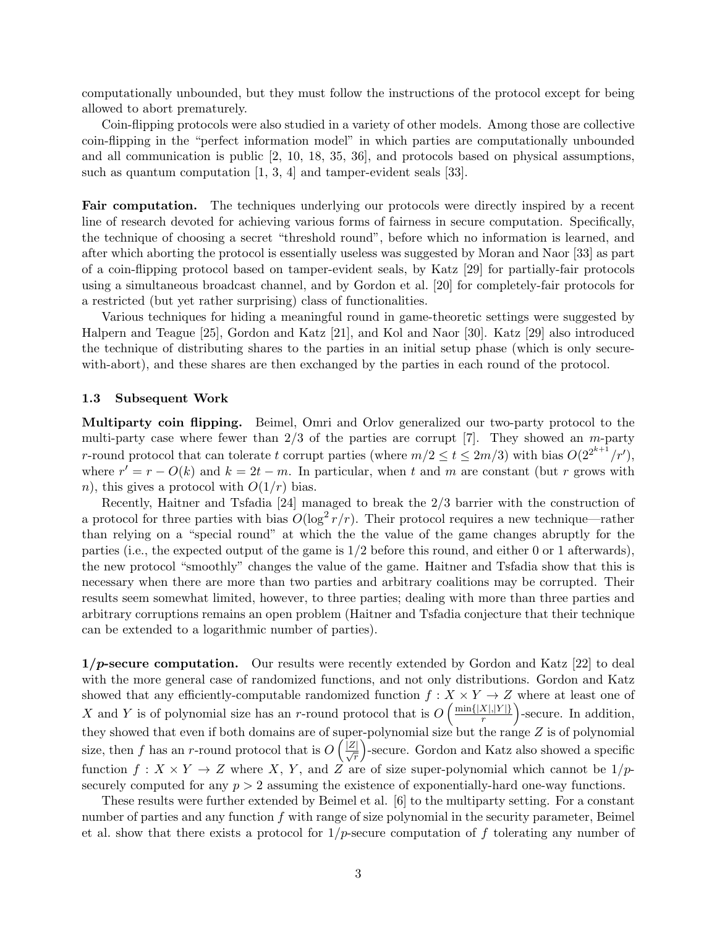computationally unbounded, but they must follow the instructions of the protocol except for being allowed to abort prematurely.

Coin-flipping protocols were also studied in a variety of other models. Among those are collective coin-flipping in the "perfect information model" in which parties are computationally unbounded and all communication is public [2, 10, 18, 35, 36], and protocols based on physical assumptions, such as quantum computation [1, 3, 4] and tamper-evident seals [33].

**Fair computation.** The techniques underlying our protocols were directly inspired by a recent line of research devoted for achieving various forms of fairness in secure computation. Specifically, the technique of choosing a secret "threshold round", before which no information is learned, and after which aborting the protocol is essentially useless was suggested by Moran and Naor [33] as part of a coin-flipping protocol based on tamper-evident seals, by Katz [29] for partially-fair protocols using a simultaneous broadcast channel, and by Gordon et al. [20] for completely-fair protocols for a restricted (but yet rather surprising) class of functionalities.

Various techniques for hiding a meaningful round in game-theoretic settings were suggested by Halpern and Teague [25], Gordon and Katz [21], and Kol and Naor [30]. Katz [29] also introduced the technique of distributing shares to the parties in an initial setup phase (which is only securewith-abort), and these shares are then exchanged by the parties in each round of the protocol.

#### **1.3 Subsequent Work**

**Multiparty coin flipping.** Beimel, Omri and Orlov generalized our two-party protocol to the multi-party case where fewer than 2/3 of the parties are corrupt [7]. They showed an *m*-party *r*-round protocol that can tolerate *t* corrupt parties (where  $m/2 \le t \le 2m/3$ ) with bias  $O(2^{2^{k+1}}/r')$ , where  $r' = r - O(k)$  and  $k = 2t - m$ . In particular, when t and m are constant (but r grows with *n*), this gives a protocol with  $O(1/r)$  bias.

Recently, Haitner and Tsfadia [24] managed to break the 2*/*3 barrier with the construction of a protocol for three parties with bias  $O(\log^2 r/r)$ . Their protocol requires a new technique—rather than relying on a "special round" at which the the value of the game changes abruptly for the parties (i.e., the expected output of the game is 1*/*2 before this round, and either 0 or 1 afterwards), the new protocol "smoothly" changes the value of the game. Haitner and Tsfadia show that this is necessary when there are more than two parties and arbitrary coalitions may be corrupted. Their results seem somewhat limited, however, to three parties; dealing with more than three parties and arbitrary corruptions remains an open problem (Haitner and Tsfadia conjecture that their technique can be extended to a logarithmic number of parties).

**1***/p***-secure computation.** Our results were recently extended by Gordon and Katz [22] to deal with the more general case of randomized functions, and not only distributions. Gordon and Katz showed that any efficiently-computable randomized function  $f : X \times Y \to Z$  where at least one of *X* and *Y* is of polynomial size has an *r*-round protocol that is  $O\left(\frac{\min\{|X|, |Y|\}}{r}\right)$ *r* ) -secure. In addition, they showed that even if both domains are of super-polynomial size but the range *Z* is of polynomial size, then *f* has an *r*-round protocol that is  $O\left(\frac{|\mathcal{Z}|}{\sqrt{r}}\right)$ ) -secure. Gordon and Katz also showed a specific function  $f: X \times Y \to Z$  where X, Y, and Z are of size super-polynomial which cannot be  $1/p$ securely computed for any  $p > 2$  assuming the existence of exponentially-hard one-way functions.

These results were further extended by Beimel et al. [6] to the multiparty setting. For a constant number of parties and any function *f* with range of size polynomial in the security parameter, Beimel et al. show that there exists a protocol for 1*/p*-secure computation of *f* tolerating any number of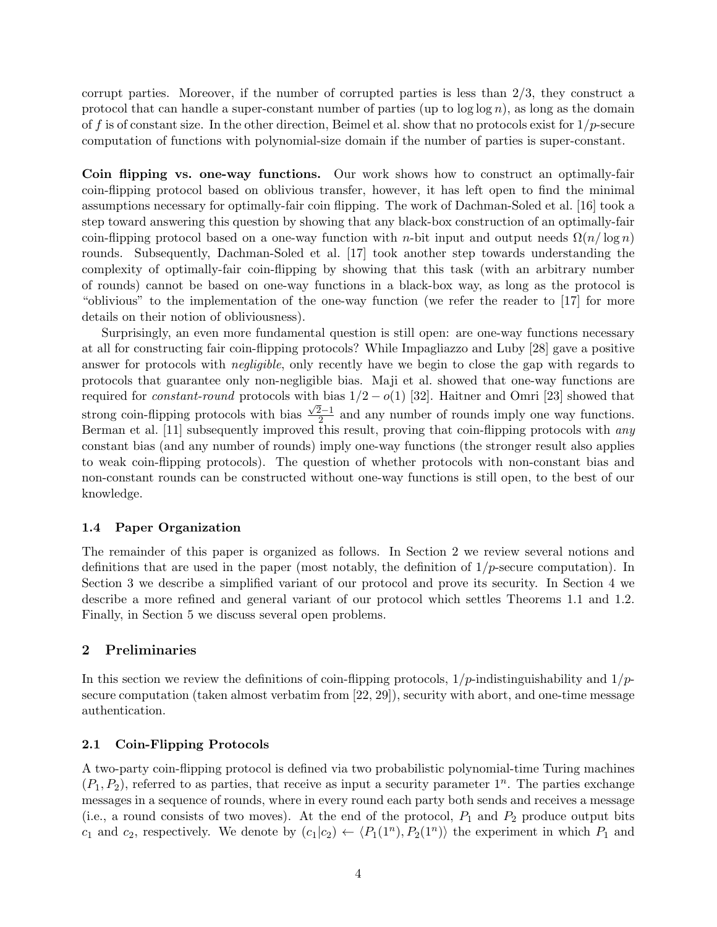corrupt parties. Moreover, if the number of corrupted parties is less than 2*/*3, they construct a protocol that can handle a super-constant number of parties (up to log log *n*), as long as the domain of *f* is of constant size. In the other direction, Beimel et al. show that no protocols exist for 1*/p*-secure computation of functions with polynomial-size domain if the number of parties is super-constant.

**Coin flipping vs. one-way functions.** Our work shows how to construct an optimally-fair coin-flipping protocol based on oblivious transfer, however, it has left open to find the minimal assumptions necessary for optimally-fair coin flipping. The work of Dachman-Soled et al. [16] took a step toward answering this question by showing that any black-box construction of an optimally-fair coin-flipping protocol based on a one-way function with *n*-bit input and output needs  $\Omega(n/\log n)$ rounds. Subsequently, Dachman-Soled et al. [17] took another step towards understanding the complexity of optimally-fair coin-flipping by showing that this task (with an arbitrary number of rounds) cannot be based on one-way functions in a black-box way, as long as the protocol is "oblivious" to the implementation of the one-way function (we refer the reader to [17] for more details on their notion of obliviousness).

Surprisingly, an even more fundamental question is still open: are one-way functions necessary at all for constructing fair coin-flipping protocols? While Impagliazzo and Luby [28] gave a positive answer for protocols with *negligible*, only recently have we begin to close the gap with regards to protocols that guarantee only non-negligible bias. Maji et al. showed that one-way functions are required for *constant-round* protocols with bias  $1/2 - o(1)$  [32]. Haitner and Omri [23] showed that strong coin-flipping protocols with bias  $\frac{\sqrt{2}-1}{2}$  and any number of rounds imply one way functions. Berman et al. [11] subsequently improved this result, proving that coin-flipping protocols with *any* constant bias (and any number of rounds) imply one-way functions (the stronger result also applies to weak coin-flipping protocols). The question of whether protocols with non-constant bias and non-constant rounds can be constructed without one-way functions is still open, to the best of our knowledge.

## **1.4 Paper Organization**

The remainder of this paper is organized as follows. In Section 2 we review several notions and definitions that are used in the paper (most notably, the definition of 1*/p*-secure computation). In Section 3 we describe a simplified variant of our protocol and prove its security. In Section 4 we describe a more refined and general variant of our protocol which settles Theorems 1.1 and 1.2. Finally, in Section 5 we discuss several open problems.

# **2 Preliminaries**

In this section we review the definitions of coin-flipping protocols, 1*/p*-indistinguishability and 1*/p*secure computation (taken almost verbatim from [22, 29]), security with abort, and one-time message authentication.

## **2.1 Coin-Flipping Protocols**

A two-party coin-flipping protocol is defined via two probabilistic polynomial-time Turing machines  $(P_1, P_2)$ , referred to as parties, that receive as input a security parameter  $1^n$ . The parties exchange messages in a sequence of rounds, where in every round each party both sends and receives a message (i.e., a round consists of two moves). At the end of the protocol, *P*<sup>1</sup> and *P*<sup>2</sup> produce output bits *c*<sub>1</sub> and *c*<sub>2</sub>, respectively. We denote by  $(c_1|c_2) \leftarrow \langle P_1(1^n), P_2(1^n) \rangle$  the experiment in which  $P_1$  and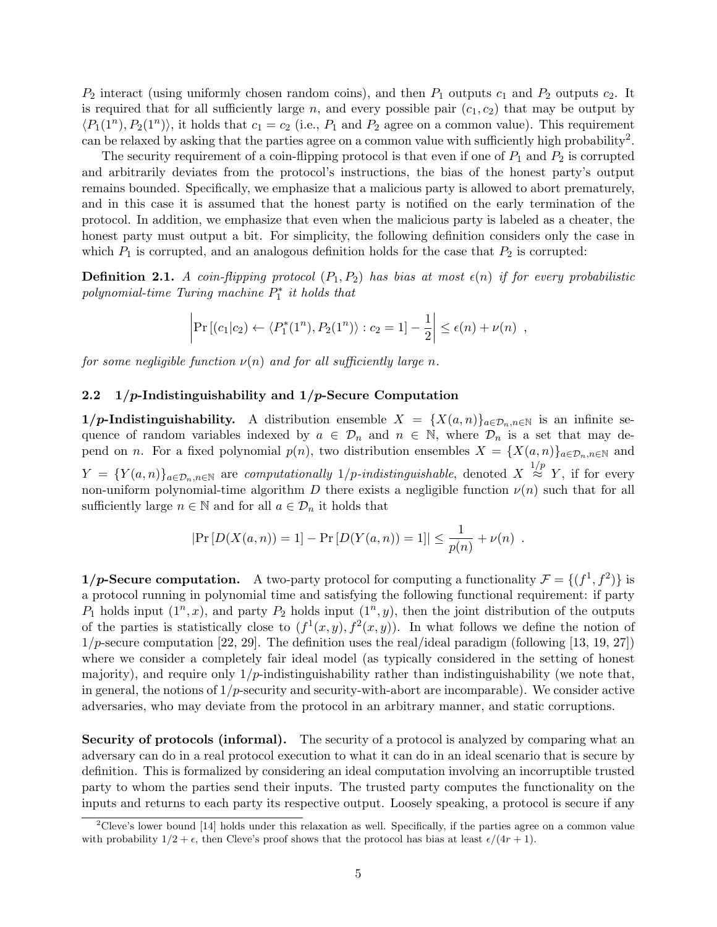$P_2$  interact (using uniformly chosen random coins), and then  $P_1$  outputs  $c_1$  and  $P_2$  outputs  $c_2$ . It is required that for all sufficiently large  $n$ , and every possible pair  $(c_1, c_2)$  that may be output by  $\langle P_1(1^n), P_2(1^n) \rangle$ , it holds that  $c_1 = c_2$  (i.e.,  $P_1$  and  $P_2$  agree on a common value). This requirement can be relaxed by asking that the parties agree on a common value with sufficiently high probability<sup>2</sup>.

The security requirement of a coin-flipping protocol is that even if one of  $P_1$  and  $P_2$  is corrupted and arbitrarily deviates from the protocol's instructions, the bias of the honest party's output remains bounded. Specifically, we emphasize that a malicious party is allowed to abort prematurely, and in this case it is assumed that the honest party is notified on the early termination of the protocol. In addition, we emphasize that even when the malicious party is labeled as a cheater, the honest party must output a bit. For simplicity, the following definition considers only the case in which  $P_1$  is corrupted, and an analogous definition holds for the case that  $P_2$  is corrupted:

**Definition 2.1.** *A coin-flipping protocol*  $(P_1, P_2)$  *has bias at most*  $\epsilon(n)$  *if for every probabilistic polynomial-time Turing machine P ∗* 1 *it holds that*

$$
\left|\Pr\left[(c_1|c_2)\leftarrow \langle P_1^*(1^n), P_2(1^n)\rangle : c_2 = 1\right] - \frac{1}{2}\right| \leq \epsilon(n) + \nu(n) ,
$$

*for some negligible function*  $\nu(n)$  *and for all sufficiently large n.* 

## **2.2 1***/p***-Indistinguishability and 1***/p***-Secure Computation**

**1***/p***-Indistinguishability.** A distribution ensemble  $X = \{X(a,n)\}_{a \in \mathcal{D}_n, n \in \mathbb{N}}$  is an infinite sequence of random variables indexed by  $a \in \mathcal{D}_n$  and  $n \in \mathbb{N}$ , where  $\mathcal{D}_n$  is a set that may depend on *n*. For a fixed polynomial  $p(n)$ , two distribution ensembles  $X = \{X(a, n)\}_{a \in \mathcal{D}_n, n \in \mathbb{N}}$  and *Y* = {*Y*(*a, n*)}*<sub>a∈D<sub>n</sub>,n∈N* are *computationally* 1/*p-indistinguishable*, denoted *X*<sup>1/*p*</sup> *Y*, if for every</sub> non-uniform polynomial-time algorithm *D* there exists a negligible function  $\nu(n)$  such that for all sufficiently large  $n \in \mathbb{N}$  and for all  $a \in \mathcal{D}_n$  it holds that

$$
|\Pr[D(X(a, n)) = 1] - \Pr[D(Y(a, n)) = 1]| \le \frac{1}{p(n)} + \nu(n).
$$

**1/p-Secure computation.** A two-party protocol for computing a functionality  $\mathcal{F} = \{(f^1, f^2)\}\$ is a protocol running in polynomial time and satisfying the following functional requirement: if party  $P_1$  holds input  $(1^n, x)$ , and party  $P_2$  holds input  $(1^n, y)$ , then the joint distribution of the outputs of the parties is statistically close to  $(f^1(x, y), f^2(x, y))$ . In what follows we define the notion of 1*/p*-secure computation [22, 29]. The definition uses the real/ideal paradigm (following [13, 19, 27]) where we consider a completely fair ideal model (as typically considered in the setting of honest majority), and require only  $1/p$ -indistinguishability rather than indistinguishability (we note that, in general, the notions of 1*/p*-security and security-with-abort are incomparable). We consider active adversaries, who may deviate from the protocol in an arbitrary manner, and static corruptions.

**Security of protocols (informal).** The security of a protocol is analyzed by comparing what an adversary can do in a real protocol execution to what it can do in an ideal scenario that is secure by definition. This is formalized by considering an ideal computation involving an incorruptible trusted party to whom the parties send their inputs. The trusted party computes the functionality on the inputs and returns to each party its respective output. Loosely speaking, a protocol is secure if any

<sup>&</sup>lt;sup>2</sup>Cleve's lower bound [14] holds under this relaxation as well. Specifically, if the parties agree on a common value with probability  $1/2 + \epsilon$ , then Cleve's proof shows that the protocol has bias at least  $\epsilon/(4r + 1)$ .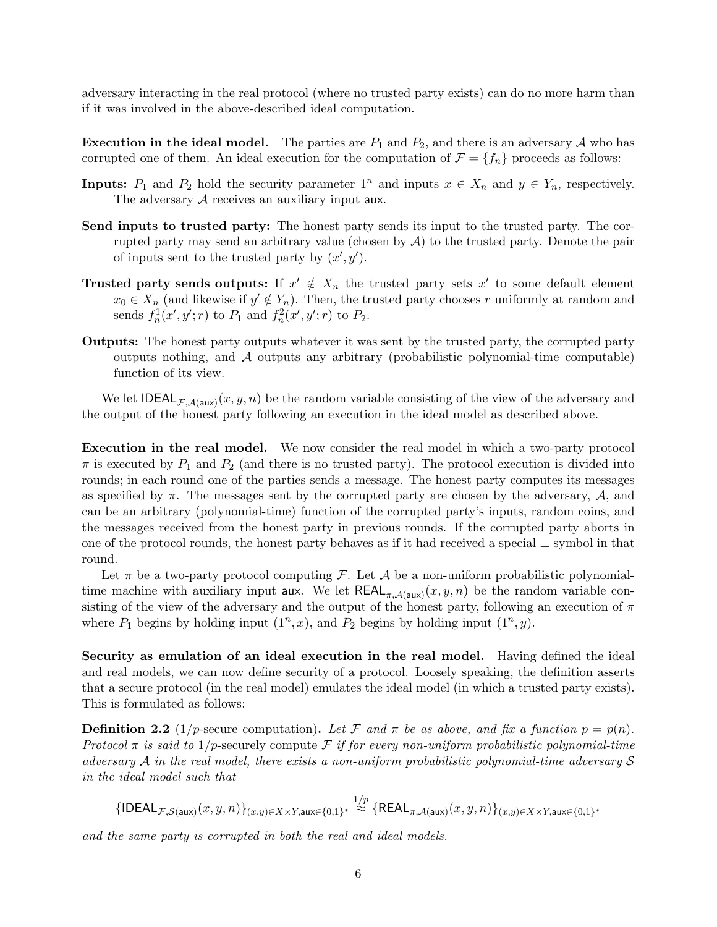adversary interacting in the real protocol (where no trusted party exists) can do no more harm than if it was involved in the above-described ideal computation.

**Execution in the ideal model.** The parties are  $P_1$  and  $P_2$ , and there is an adversary  $\mathcal A$  who has corrupted one of them. An ideal execution for the computation of  $\mathcal{F} = \{f_n\}$  proceeds as follows:

- **Inputs:**  $P_1$  and  $P_2$  hold the security parameter  $1^n$  and inputs  $x \in X_n$  and  $y \in Y_n$ , respectively. The adversary A receives an auxiliary input **aux**.
- **Send inputs to trusted party:** The honest party sends its input to the trusted party. The corrupted party may send an arbitrary value (chosen by *A*) to the trusted party. Denote the pair of inputs sent to the trusted party by  $(x', y')$ .
- **Trusted party sends outputs:** If  $x' \notin X_n$  the trusted party sets  $x'$  to some default element  $x_0 \in X_n$  (and likewise if  $y' \notin Y_n$ ). Then, the trusted party chooses *r* uniformly at random and sends  $f_n^1(x', y'; r)$  to  $P_1$  and  $f_n^2(x', y'; r)$  to  $P_2$ .
- **Outputs:** The honest party outputs whatever it was sent by the trusted party, the corrupted party outputs nothing, and *A* outputs any arbitrary (probabilistic polynomial-time computable) function of its view.

We let  $\text{IDEAL}_{\mathcal{F},\mathcal{A}(\text{aux})}(x,y,n)$  be the random variable consisting of the view of the adversary and the output of the honest party following an execution in the ideal model as described above.

**Execution in the real model.** We now consider the real model in which a two-party protocol  $\pi$  is executed by  $P_1$  and  $P_2$  (and there is no trusted party). The protocol execution is divided into rounds; in each round one of the parties sends a message. The honest party computes its messages as specified by  $\pi$ . The messages sent by the corrupted party are chosen by the adversary,  $\mathcal{A}$ , and can be an arbitrary (polynomial-time) function of the corrupted party's inputs, random coins, and the messages received from the honest party in previous rounds. If the corrupted party aborts in one of the protocol rounds, the honest party behaves as if it had received a special *⊥* symbol in that round.

Let  $\pi$  be a two-party protocol computing *F*. Let *A* be a non-uniform probabilistic polynomialtime machine with auxiliary input aux. We let  $REAL_{\pi,\mathcal{A}(\text{aux})}(x, y, n)$  be the random variable consisting of the view of the adversary and the output of the honest party, following an execution of *π* where  $P_1$  begins by holding input  $(1^n, x)$ , and  $P_2$  begins by holding input  $(1^n, y)$ .

**Security as emulation of an ideal execution in the real model.** Having defined the ideal and real models, we can now define security of a protocol. Loosely speaking, the definition asserts that a secure protocol (in the real model) emulates the ideal model (in which a trusted party exists). This is formulated as follows:

**Definition 2.2** (1/p-secure computation). Let F and  $\pi$  be as above, and fix a function  $p = p(n)$ . *Protocol*  $\pi$  *is said to* 1/p-securely compute *F if for every non-uniform probabilistic polynomial-time adversary A in the real model, there exists a non-uniform probabilistic polynomial-time adversary S in the ideal model such that*

$$
\{{\sf IDEAL}_{{\cal F}, {\cal S}({\sf aux})}(x,y,n)\}_{(x,y)\in X\times Y, {\sf aux} \in \{0,1\}^*}\stackrel{1/p}{\approx} \{{\sf REAL}_{{\pi},{\cal A}({\sf aux})}(x,y,n)\}_{(x,y)\in X\times Y, {\sf aux} \in \{0,1\}^*}
$$

*and the same party is corrupted in both the real and ideal models.*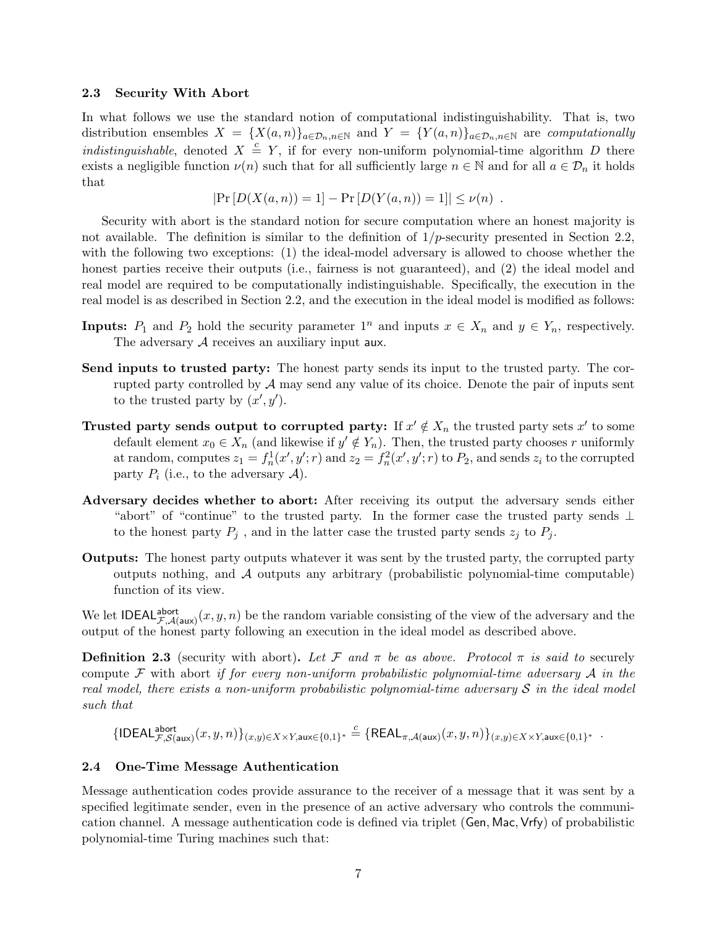#### **2.3 Security With Abort**

In what follows we use the standard notion of computational indistinguishability. That is, two distribution ensembles  $X = \{X(a,n)\}_{a\in\mathcal{D}_n,n\in\mathbb{N}}$  and  $Y = \{Y(a,n)\}_{a\in\mathcal{D}_n,n\in\mathbb{N}}$  are computationally *indistinguishable*, denoted  $X \triangleq Y$ , if for every non-uniform polynomial-time algorithm *D* there exists a negligible function  $\nu(n)$  such that for all sufficiently large  $n \in \mathbb{N}$  and for all  $a \in \mathcal{D}_n$  it holds that

$$
|\Pr[D(X(a, n)) = 1] - \Pr[D(Y(a, n)) = 1]| \leq \nu(n).
$$

Security with abort is the standard notion for secure computation where an honest majority is not available. The definition is similar to the definition of 1*/p*-security presented in Section 2.2, with the following two exceptions: (1) the ideal-model adversary is allowed to choose whether the honest parties receive their outputs (i.e., fairness is not guaranteed), and (2) the ideal model and real model are required to be computationally indistinguishable. Specifically, the execution in the real model is as described in Section 2.2, and the execution in the ideal model is modified as follows:

- **Inputs:**  $P_1$  and  $P_2$  hold the security parameter  $1^n$  and inputs  $x \in X_n$  and  $y \in Y_n$ , respectively. The adversary A receives an auxiliary input **aux**.
- **Send inputs to trusted party:** The honest party sends its input to the trusted party. The corrupted party controlled by *A* may send any value of its choice. Denote the pair of inputs sent to the trusted party by  $(x', y')$ .
- **Trusted party sends output to corrupted party:** If  $x' \notin X_n$  the trusted party sets  $x'$  to some default element  $x_0 \in X_n$  (and likewise if  $y' \notin Y_n$ ). Then, the trusted party chooses *r* uniformly at random, computes  $z_1 = f_n^1(x', y'; r)$  and  $z_2 = f_n^2(x', y'; r)$  to  $P_2$ , and sends  $z_i$  to the corrupted party  $P_i$  (i.e., to the adversary  $A$ ).
- **Adversary decides whether to abort:** After receiving its output the adversary sends either "abort" of "continue" to the trusted party. In the former case the trusted party sends *⊥* to the honest party  $P_j$ , and in the latter case the trusted party sends  $z_j$  to  $P_j$ .
- **Outputs:** The honest party outputs whatever it was sent by the trusted party, the corrupted party outputs nothing, and *A* outputs any arbitrary (probabilistic polynomial-time computable) function of its view.

We let **IDEAL**<sup>abort</sup> $F$ <sup>*,A*(aux)</sub> $(x, y, n)$  be the random variable consisting of the view of the adversary and the</sup> output of the honest party following an execution in the ideal model as described above.

**Definition 2.3** (security with abort). Let F and  $\pi$  be as above. Protocol  $\pi$  is said to securely compute *F* with abort *if for every non-uniform probabilistic polynomial-time adversary A in the real model, there exists a non-uniform probabilistic polynomial-time adversary S in the ideal model such that*

$$
\{{\sf IDEAL}_{{\cal F}, {\cal S}({\sf aux})}^{\sf abort}(x,y,n)\}_{(x,y)\in X\times Y, {\sf aux} \in \{0,1\}^*} \stackrel{c}{=} \{{\sf REAL}_{{\pi}, {\cal A}({\sf aux})}(x,y,n)\}_{(x,y)\in X\times Y, {\sf aux} \in \{0,1\}^*}\enspace.
$$

# **2.4 One-Time Message Authentication**

Message authentication codes provide assurance to the receiver of a message that it was sent by a specified legitimate sender, even in the presence of an active adversary who controls the communication channel. A message authentication code is defined via triplet (Gen*,* Mac*,* Vrfy) of probabilistic polynomial-time Turing machines such that: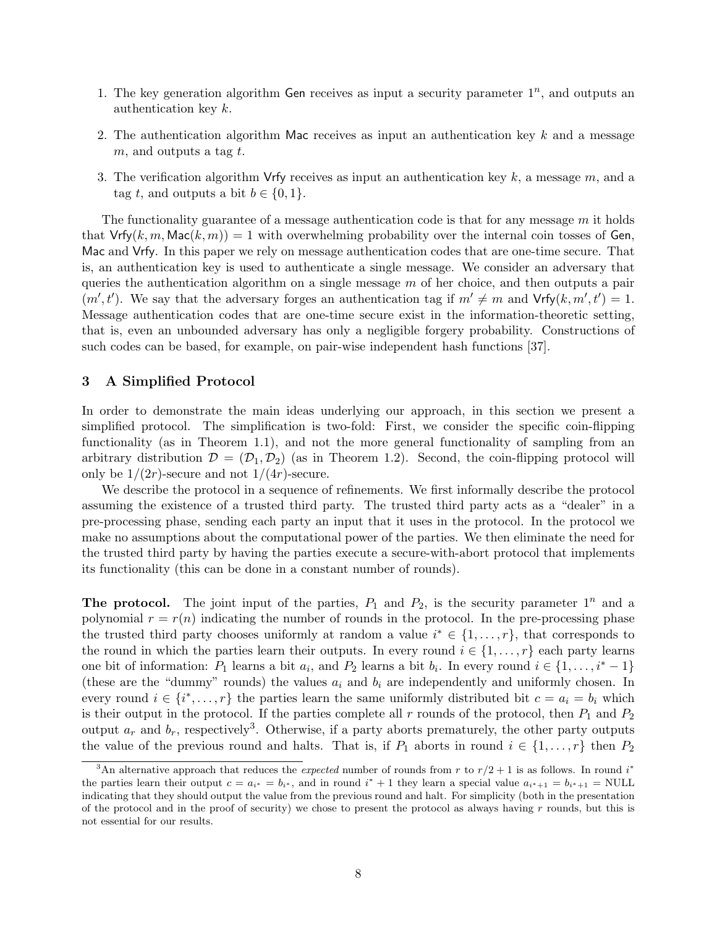- 1. The key generation algorithm Gen receives as input a security parameter  $1^n$ , and outputs an authentication key *k*.
- 2. The authentication algorithm Mac receives as input an authentication key *k* and a message *m*, and outputs a tag *t*.
- 3. The verification algorithm Vrfy receives as input an authentication key *k*, a message *m*, and a tag *t*, and outputs a bit  $b \in \{0, 1\}$ .

The functionality guarantee of a message authentication code is that for any message *m* it holds that  $Vrfy(k, m, Mac(k, m)) = 1$  with overwhelming probability over the internal coin tosses of Gen, Mac and Vrfy. In this paper we rely on message authentication codes that are one-time secure. That is, an authentication key is used to authenticate a single message. We consider an adversary that queries the authentication algorithm on a single message *m* of her choice, and then outputs a pair  $(m', t')$ . We say that the adversary forges an authentication tag if  $m' \neq m$  and  $Vrfy(k, m', t') = 1$ . Message authentication codes that are one-time secure exist in the information-theoretic setting, that is, even an unbounded adversary has only a negligible forgery probability. Constructions of such codes can be based, for example, on pair-wise independent hash functions [37].

## **3 A Simplified Protocol**

In order to demonstrate the main ideas underlying our approach, in this section we present a simplified protocol. The simplification is two-fold: First, we consider the specific coin-flipping functionality (as in Theorem 1.1), and not the more general functionality of sampling from an arbitrary distribution  $\mathcal{D} = (\mathcal{D}_1, \mathcal{D}_2)$  (as in Theorem 1.2). Second, the coin-flipping protocol will only be  $1/(2r)$ -secure and not  $1/(4r)$ -secure.

We describe the protocol in a sequence of refinements. We first informally describe the protocol assuming the existence of a trusted third party. The trusted third party acts as a "dealer" in a pre-processing phase, sending each party an input that it uses in the protocol. In the protocol we make no assumptions about the computational power of the parties. We then eliminate the need for the trusted third party by having the parties execute a secure-with-abort protocol that implements its functionality (this can be done in a constant number of rounds).

**The protocol.** The joint input of the parties,  $P_1$  and  $P_2$ , is the security parameter  $1^n$  and a polynomial  $r = r(n)$  indicating the number of rounds in the protocol. In the pre-processing phase the trusted third party chooses uniformly at random a value  $i^* \in \{1, \ldots, r\}$ , that corresponds to the round in which the parties learn their outputs. In every round  $i \in \{1, \ldots, r\}$  each party learns one bit of information:  $P_1$  learns a bit  $a_i$ , and  $P_2$  learns a bit  $b_i$ . In every round  $i \in \{1, \ldots, i^* - 1\}$ (these are the "dummy" rounds) the values *a<sup>i</sup>* and *b<sup>i</sup>* are independently and uniformly chosen. In every round  $i \in \{i^*, \ldots, r\}$  the parties learn the same uniformly distributed bit  $c = a_i = b_i$  which is their output in the protocol. If the parties complete all  $r$  rounds of the protocol, then  $P_1$  and  $P_2$ output  $a_r$  and  $b_r$ , respectively<sup>3</sup>. Otherwise, if a party aborts prematurely, the other party outputs the value of the previous round and halts. That is, if  $P_1$  aborts in round  $i \in \{1, \ldots, r\}$  then  $P_2$ 

<sup>&</sup>lt;sup>3</sup>An alternative approach that reduces the *expected* number of rounds from  $r$  to  $r/2 + 1$  is as follows. In round  $i^*$ the parties learn their output  $c = a_{i^*} = b_{i^*}$ , and in round  $i^* + 1$  they learn a special value  $a_{i^*+1} = b_{i^*+1} = \text{NULL}$ indicating that they should output the value from the previous round and halt. For simplicity (both in the presentation of the protocol and in the proof of security) we chose to present the protocol as always having *r* rounds, but this is not essential for our results.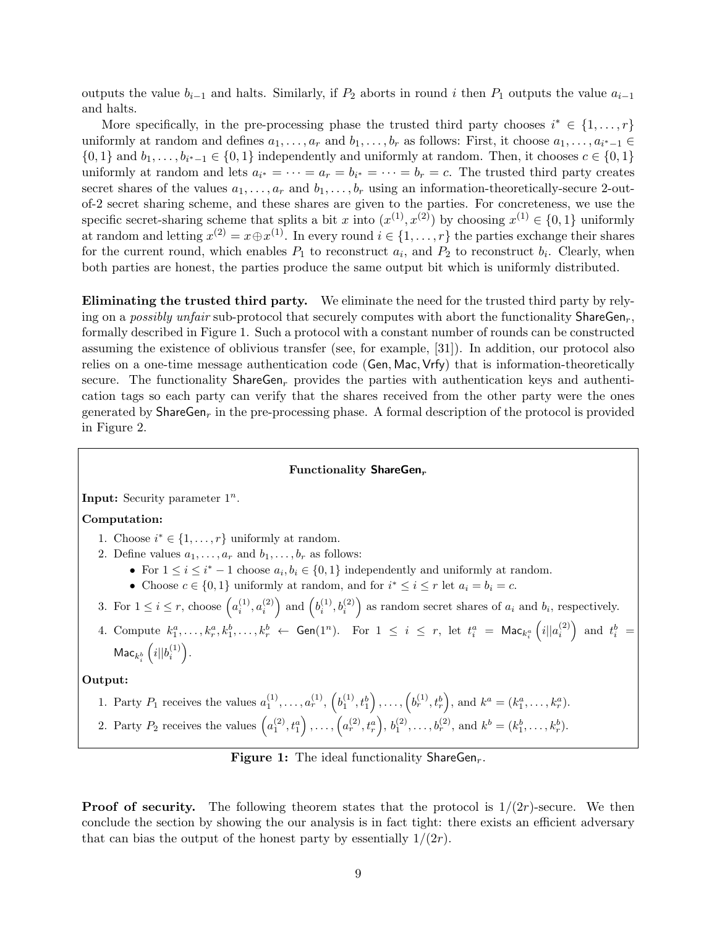outputs the value  $b_{i-1}$  and halts. Similarly, if  $P_2$  aborts in round *i* then  $P_1$  outputs the value  $a_{i-1}$ and halts.

More specifically, in the pre-processing phase the trusted third party chooses  $i^* \in \{1, \ldots, r\}$ uniformly at random and defines  $a_1, \ldots, a_r$  and  $b_1, \ldots, b_r$  as follows: First, it choose  $a_1, \ldots, a_{i^*-1} \in$  $\{0,1\}$  and  $b_1, \ldots, b_{i^*-1} \in \{0,1\}$  independently and uniformly at random. Then, it chooses  $c \in \{0,1\}$ uniformly at random and lets  $a_{i^*} = \cdots = a_r = b_{i^*} = \cdots = b_r = c$ . The trusted third party creates secret shares of the values  $a_1, \ldots, a_r$  and  $b_1, \ldots, b_r$  using an information-theoretically-secure 2-outof-2 secret sharing scheme, and these shares are given to the parties. For concreteness, we use the specific secret-sharing scheme that splits a bit *x* into  $(x^{(1)}, x^{(2)})$  by choosing  $x^{(1)} \in \{0, 1\}$  uniformly at random and letting  $x^{(2)} = x \oplus x^{(1)}$ . In every round  $i \in \{1, \ldots, r\}$  the parties exchange their shares for the current round, which enables  $P_1$  to reconstruct  $a_i$ , and  $P_2$  to reconstruct  $b_i$ . Clearly, when both parties are honest, the parties produce the same output bit which is uniformly distributed.

**Eliminating the trusted third party.** We eliminate the need for the trusted third party by relying on a *possibly unfair* sub-protocol that securely computes with abort the functionality  $\textsf{ShareGen}_r$ , formally described in Figure 1. Such a protocol with a constant number of rounds can be constructed assuming the existence of oblivious transfer (see, for example, [31]). In addition, our protocol also relies on a one-time message authentication code (Gen*,* Mac*,* Vrfy) that is information-theoretically secure. The functionality  $\text{ShareGen}_r$  provides the parties with authentication keys and authentication tags so each party can verify that the shares received from the other party were the ones generated by ShareGen*<sup>r</sup>* in the pre-processing phase. A formal description of the protocol is provided in Figure 2.

#### **Functionality ShareGen***<sup>r</sup>*

**Input:** Security parameter 1*<sup>n</sup>*.

## **Computation:**

- 1. Choose  $i^* \in \{1, \ldots, r\}$  uniformly at random.
- 2. Define values  $a_1, \ldots, a_r$  and  $b_1, \ldots, b_r$  as follows:
	- For  $1 \leq i \leq i^* 1$  choose  $a_i, b_i \in \{0, 1\}$  independently and uniformly at random.
	- Choose  $c \in \{0, 1\}$  uniformly at random, and for  $i^* \leq i \leq r$  let  $a_i = b_i = c$ .
- 3. For  $1 \leq i \leq r$ , choose  $\left(a_i^{(1)}, a_i^{(2)}\right)$  and  $\left(b_i^{(1)}, b_i^{(2)}\right)$  as random secret shares of  $a_i$  and  $b_i$ , respectively.
- 4. Compute  $k_1^a, \ldots, k_r^a, k_1^b, \ldots, k_r^b \leftarrow$  Gen $(1^n)$ . For  $1 \leq i \leq r$ , let  $t_i^a = \mathsf{Mac}_{k_i^a}$  $(i||a_i^{(2)})$  and  $t_i^b$  =  $\mathsf{Mac}_{k^b_i}$  $\left(i||b_i^{(1)}\right)$ .

#### **Output:**

- 1. Party  $P_1$  receives the values  $a_1^{(1)}, \ldots, a_r^{(1)}, \left(b_1^{(1)}, t_1^b\right), \ldots, \left(b_r^{(1)}, t_r^b\right)$ , and  $k^a = (k_1^a, \ldots, k_r^a)$ .
- 2. Party  $P_2$  receives the values  $(a_1^{(2)}, t_1^a), \ldots, (a_r^{(2)}, t_r^a), b_1^{(2)}, \ldots, b_r^{(2)},$  and  $k^b = (k_1^b, \ldots, k_r^b)$ .

**Figure 1:** The ideal functionality ShareGen*r*.

**Proof of security.** The following theorem states that the protocol is  $1/(2r)$ -secure. We then conclude the section by showing the our analysis is in fact tight: there exists an efficient adversary that can bias the output of the honest party by essentially  $1/(2r)$ .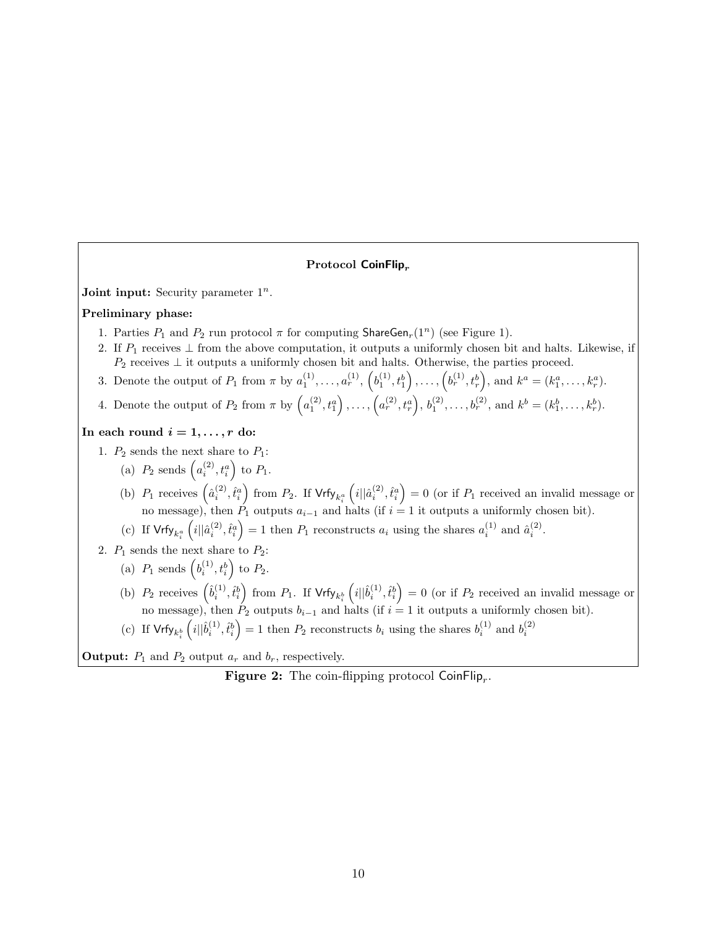## **Protocol CoinFlip***<sup>r</sup>*

**Joint input:** Security parameter  $1^n$ .

## **Preliminary phase:**

- 1. Parties  $P_1$  and  $P_2$  run protocol  $\pi$  for computing ShareGen<sub>r</sub>(1<sup>n</sup>) (see Figure 1).
- 2. If *P*<sup>1</sup> receives *⊥* from the above computation, it outputs a uniformly chosen bit and halts. Likewise, if *P*<sub>2</sub> receives ⊥ it outputs a uniformly chosen bit and halts. Otherwise, the parties proceed.
- 3. Denote the output of  $P_1$  from  $\pi$  by  $a_1^{(1)}, \ldots, a_r^{(1)}, \left(b_1^{(1)}, t_1^b\right), \ldots, \left(b_r^{(1)}, t_r^b\right)$ , and  $k^a = (k_1^a, \ldots, k_r^a)$ .
- 4. Denote the output of  $P_2$  from  $\pi$  by  $(a_1^{(2)}, t_1^{a}), \ldots, (a_r^{(2)}, t_r^{a}), b_1^{(2)}, \ldots, b_r^{(2)},$  and  $k^b = (k_1^b, \ldots, k_r^b)$ .

## In each round  $i = 1, \ldots, r$  do:

1.  $P_2$  sends the next share to  $P_1$ :

- (a)  $P_2$  sends  $(a_i^{(2)}, t_i^a)$  to  $P_1$ .
- (b)  $P_1$  receives  $\left(\hat{a}_i^{(2)}, \hat{t}_i^a\right)$  from  $P_2$ . If  $\mathsf{Vrfy}_{k_i^a}$  $(i||\hat{a}_i^{(2)}, \hat{t}_i^a) = 0$  (or if  $P_1$  received an invalid message or no message), then  $\hat{P}_1$  outputs  $a_{i-1}$  and halts (if  $i = 1$  it outputs a uniformly chosen bit).
- (c) If  $Vrfy_{k_i^a}$  $(i||\hat{a}_i^{(2)}, \hat{t}_i^a) = 1$  then  $P_1$  reconstructs  $a_i$  using the shares  $a_i^{(1)}$  and  $\hat{a}_i^{(2)}$ .
- 2.  $P_1$  sends the next share to  $P_2$ :
	- (a)  $P_1$  sends  $(b_i^{(1)}, t_i^b)$  to  $P_2$ .
	- (b)  $P_2$  receives  $(\hat{b}_i^{(1)}, \hat{t}_i^b)$  from  $P_1$ . If  $\mathsf{Vrfy}_{k_i^b}$  $(i||\hat{b}_i^{(1)}, \hat{t}_i^b) = 0$  (or if  $P_2$  received an invalid message or no message), then  $P_2$  outputs  $b_{i-1}$  and halts (if  $i = 1$  it outputs a uniformly chosen bit).
	- (c) If  $\mathsf{Vrfy}_{k^b_i}$  $(i||\hat{b}_i^{(1)}, \hat{t}_i^b) = 1$  then  $P_2$  reconstructs  $b_i$  using the shares  $b_i^{(1)}$  and  $b_i^{(2)}$

**Output:**  $P_1$  and  $P_2$  output  $a_r$  and  $b_r$ , respectively.

**Figure 2:** The coin-flipping protocol CoinFlip*<sup>r</sup>* .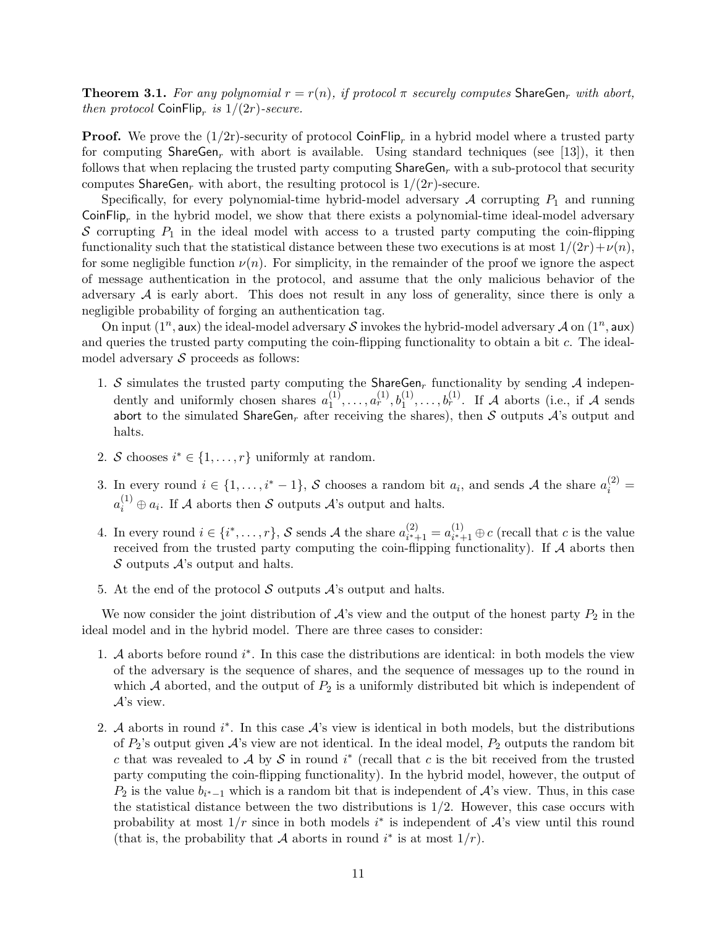**Theorem 3.1.** For any polynomial  $r = r(n)$ , if protocol  $\pi$  securely computes ShareGen<sub>r</sub> with abort, *then protocol*  $\text{CoinFlip}_r$  *is*  $1/(2r)$ *-secure.* 

**Proof.** We prove the  $(1/2r)$ -security of protocol CoinFlip<sub>r</sub> in a hybrid model where a trusted party for computing ShareGen*<sup>r</sup>* with abort is available. Using standard techniques (see [13]), it then follows that when replacing the trusted party computing  $\text{ShareGen}_r$  with a sub-protocol that security computes ShareGen<sub>*r*</sub> with abort, the resulting protocol is  $1/(2r)$ -secure.

Specifically, for every polynomial-time hybrid-model adversary  $A$  corrupting  $P_1$  and running CoinFlip<sub>r</sub> in the hybrid model, we show that there exists a polynomial-time ideal-model adversary  $S$  corrupting  $P_1$  in the ideal model with access to a trusted party computing the coin-flipping functionality such that the statistical distance between these two executions is at most  $1/(2r) + \nu(n)$ , for some negligible function  $\nu(n)$ . For simplicity, in the remainder of the proof we ignore the aspect of message authentication in the protocol, and assume that the only malicious behavior of the adversary  $A$  is early abort. This does not result in any loss of generality, since there is only a negligible probability of forging an authentication tag.

On input  $(1^n, \text{aux})$  the ideal-model adversary *S* invokes the hybrid-model adversary *A* on  $(1^n, \text{aux})$ and queries the trusted party computing the coin-flipping functionality to obtain a bit *c*. The idealmodel adversary *S* proceeds as follows:

- 1. *S* simulates the trusted party computing the ShareGen*<sup>r</sup>* functionality by sending *A* independently and uniformly chosen shares  $a_1^{(1)}$  $a_1^{(1)}, \ldots, a_r^{(1)}, b_1^{(1)}, \ldots, b_r^{(1)}$ . If *A* aborts (i.e., if *A* sends abort to the simulated ShareGen<sub>r</sub> after receiving the shares), then  $S$  outputs  $A$ 's output and halts.
- 2. *S* chooses  $i^* \in \{1, \ldots, r\}$  uniformly at random.
- 3. In every round  $i \in \{1, \ldots, i^* 1\}$ , *S* chooses a random bit  $a_i$ , and sends *A* the share  $a_i^{(2)} =$  $a_i^{(1)} \oplus a_i$ . If *A* aborts then *S* outputs *A*'s output and halts.
- 4. In every round  $i \in \{i^*, \ldots, r\}$ , *S* sends *A* the share  $a_{i^*}^{(2)}$  $a_{i^*+1}^{(2)} = a_{i^*+1}^{(1)}$  $i^{(1)}$ <sub>*i*<sup>∗</sup>+1</sub>  $⊕$  *c* (recall that *c* is the value received from the trusted party computing the coin-flipping functionality). If *A* aborts then *S* outputs *A*'s output and halts.
- 5. At the end of the protocol *S* outputs *A*'s output and halts.

We now consider the joint distribution of  $A$ 's view and the output of the honest party  $P_2$  in the ideal model and in the hybrid model. There are three cases to consider:

- 1. *A* aborts before round *i ∗* . In this case the distributions are identical: in both models the view of the adversary is the sequence of shares, and the sequence of messages up to the round in which  $A$  aborted, and the output of  $P_2$  is a uniformly distributed bit which is independent of *A*'s view.
- 2. *A* aborts in round *i ∗* . In this case *A*'s view is identical in both models, but the distributions of *P*2's output given *A*'s view are not identical. In the ideal model, *P*<sup>2</sup> outputs the random bit *c* that was revealed to *A* by *S* in round  $i^*$  (recall that *c* is the bit received from the trusted party computing the coin-flipping functionality). In the hybrid model, however, the output of *P*<sub>2</sub> is the value  $b_{i^*-1}$  which is a random bit that is independent of  $\mathcal{A}$ 's view. Thus, in this case the statistical distance between the two distributions is 1*/*2. However, this case occurs with probability at most  $1/r$  since in both models  $i^*$  is independent of  $\mathcal{A}$ 's view until this round (that is, the probability that *A* aborts in round  $i^*$  is at most  $1/r$ ).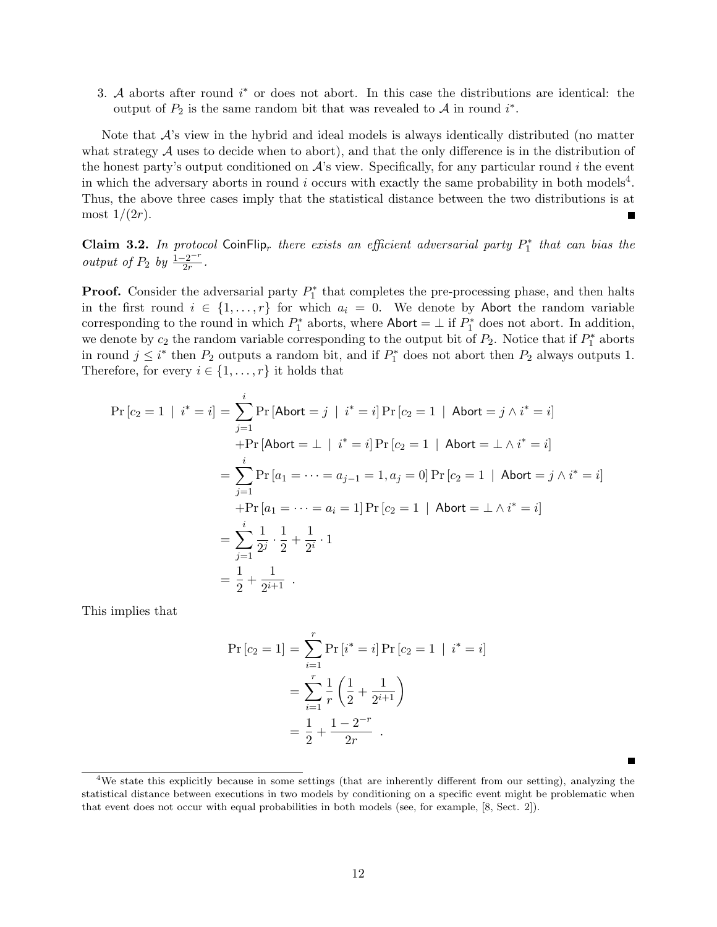3. *A* aborts after round *i <sup>∗</sup>* or does not abort. In this case the distributions are identical: the output of  $P_2$  is the same random bit that was revealed to  $A$  in round  $i^*$ .

Note that *A*'s view in the hybrid and ideal models is always identically distributed (no matter what strategy A uses to decide when to abort), and that the only difference is in the distribution of the honest party's output conditioned on *A*'s view. Specifically, for any particular round *i* the event in which the adversary aborts in round  $i$  occurs with exactly the same probability in both models<sup>4</sup>. Thus, the above three cases imply that the statistical distance between the two distributions is at most  $1/(2r)$ .

**Claim 3.2.** *In protocol* CoinFlip<sub>*r*</sub> there exists an efficient adversarial party  $P_1^*$  that can bias the *output of*  $P_2$  *by*  $\frac{1-2^{-r}}{2r}$ .

**Proof.** Consider the adversarial party  $P_1^*$  that completes the pre-processing phase, and then halts in the first round  $i \in \{1, \ldots, r\}$  for which  $a_i = 0$ . We denote by Abort the random variable corresponding to the round in which  $P_1^*$  aborts, where  $\mathsf{Abort} = \perp$  if  $P_1^*$  does not abort. In addition, we denote by  $c_2$  the random variable corresponding to the output bit of  $P_2$ . Notice that if  $P_1^*$  aborts in round  $j \leq i^*$  then  $P_2$  outputs a random bit, and if  $P_1^*$  does not abort then  $P_2$  always outputs 1. Therefore, for every  $i \in \{1, \ldots, r\}$  it holds that

$$
\Pr\left[c_{2} = 1 \mid i^{*} = i\right] = \sum_{j=1}^{i} \Pr\left[\text{Abort} = j \mid i^{*} = i\right] \Pr\left[c_{2} = 1 \mid \text{Abort} = j \land i^{*} = i\right]
$$
\n
$$
+ \Pr\left[\text{Abort} = \perp \mid i^{*} = i\right] \Pr\left[c_{2} = 1 \mid \text{Abort} = \perp \land i^{*} = i\right]
$$
\n
$$
= \sum_{j=1}^{i} \Pr\left[a_{1} = \dots = a_{j-1} = 1, a_{j} = 0\right] \Pr\left[c_{2} = 1 \mid \text{Abort} = j \land i^{*} = i\right]
$$
\n
$$
+ \Pr\left[a_{1} = \dots = a_{i} = 1\right] \Pr\left[c_{2} = 1 \mid \text{Abort} = \perp \land i^{*} = i\right]
$$
\n
$$
= \sum_{j=1}^{i} \frac{1}{2^{j}} \cdot \frac{1}{2} + \frac{1}{2^{i}} \cdot 1
$$
\n
$$
= \frac{1}{2} + \frac{1}{2^{i+1}}.
$$

This implies that

$$
\Pr[c_2 = 1] = \sum_{i=1}^r \Pr[i^* = i] \Pr[c_2 = 1 | i^* = i]
$$

$$
= \sum_{i=1}^r \frac{1}{r} \left(\frac{1}{2} + \frac{1}{2^{i+1}}\right)
$$

$$
= \frac{1}{2} + \frac{1 - 2^{-r}}{2r} .
$$

<sup>4</sup>We state this explicitly because in some settings (that are inherently different from our setting), analyzing the statistical distance between executions in two models by conditioning on a specific event might be problematic when that event does not occur with equal probabilities in both models (see, for example, [8, Sect. 2]).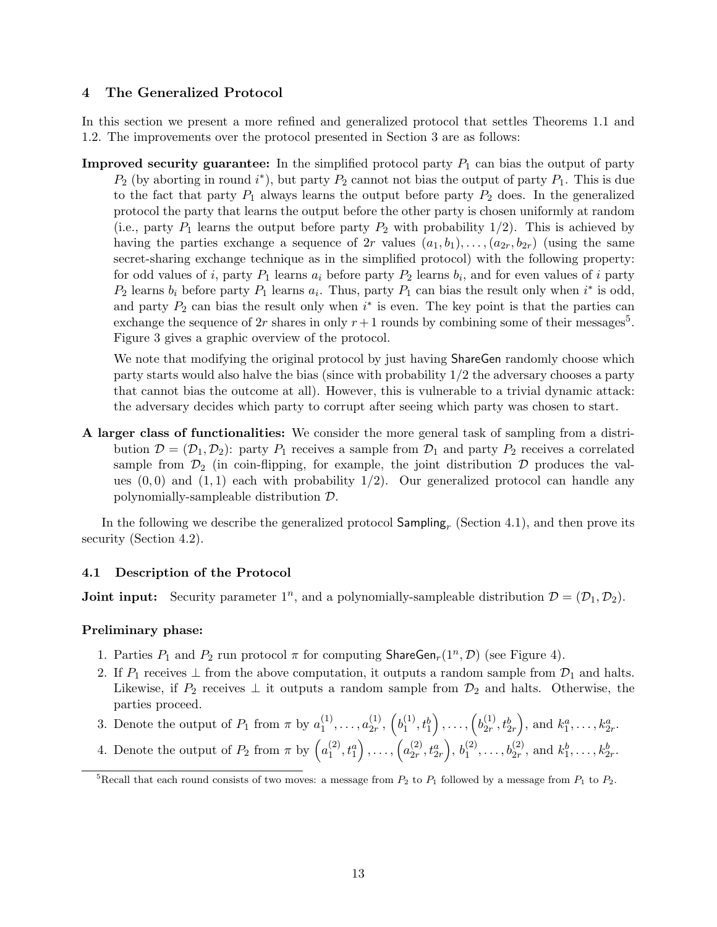# **4 The Generalized Protocol**

In this section we present a more refined and generalized protocol that settles Theorems 1.1 and 1.2. The improvements over the protocol presented in Section 3 are as follows:

**Improved security guarantee:** In the simplified protocol party  $P_1$  can bias the output of party  $P_2$  (by aborting in round *i*<sup>\*</sup>), but party  $P_2$  cannot not bias the output of party  $P_1$ . This is due to the fact that party  $P_1$  always learns the output before party  $P_2$  does. In the generalized protocol the party that learns the output before the other party is chosen uniformly at random (i.e., party  $P_1$  learns the output before party  $P_2$  with probability  $1/2$ ). This is achieved by having the parties exchange a sequence of 2*r* values  $(a_1, b_1), \ldots, (a_{2r}, b_{2r})$  (using the same secret-sharing exchange technique as in the simplified protocol) with the following property: for odd values of *i*, party  $P_1$  learns  $a_i$  before party  $P_2$  learns  $b_i$ , and for even values of *i* party  $P_2$  learns  $b_i$  before party  $P_1$  learns  $a_i$ . Thus, party  $P_1$  can bias the result only when  $i^*$  is odd, and party  $P_2$  can bias the result only when  $i^*$  is even. The key point is that the parties can exchange the sequence of  $2r$  shares in only  $r+1$  rounds by combining some of their messages<sup>5</sup>. Figure 3 gives a graphic overview of the protocol.

We note that modifying the original protocol by just having ShareGen randomly choose which party starts would also halve the bias (since with probability 1*/*2 the adversary chooses a party that cannot bias the outcome at all). However, this is vulnerable to a trivial dynamic attack: the adversary decides which party to corrupt after seeing which party was chosen to start.

**A larger class of functionalities:** We consider the more general task of sampling from a distribution  $\mathcal{D} = (\mathcal{D}_1, \mathcal{D}_2)$ : party  $P_1$  receives a sample from  $\mathcal{D}_1$  and party  $P_2$  receives a correlated sample from  $\mathcal{D}_2$  (in coin-flipping, for example, the joint distribution  $\mathcal D$  produces the values  $(0,0)$  and  $(1,1)$  each with probability  $1/2$ . Our generalized protocol can handle any polynomially-sampleable distribution *D*.

In the following we describe the generalized protocol Sampling*<sup>r</sup>* (Section 4.1), and then prove its security (Section 4.2).

# **4.1 Description of the Protocol**

**Joint input:** Security parameter  $1^n$ , and a polynomially-sampleable distribution  $\mathcal{D} = (\mathcal{D}_1, \mathcal{D}_2)$ .

# **Preliminary phase:**

- 1. Parties  $P_1$  and  $P_2$  run protocol  $\pi$  for computing ShareGen<sub>r</sub>(1<sup>n</sup>, D) (see Figure 4).
- 2. If  $P_1$  receives  $\perp$  from the above computation, it outputs a random sample from  $\mathcal{D}_1$  and halts. Likewise, if  $P_2$  receives  $\perp$  it outputs a random sample from  $\mathcal{D}_2$  and halts. Otherwise, the parties proceed.
- 3. Denote the output of  $P_1$  from  $\pi$  by  $a_1^{(1)}$  $a_{1}^{(1)}, \ldots, a_{2r}^{(1)}$  $\binom{1}{2r},\,\binom{b_1^{(1)}}{r}$  $t_1^{(1)}, t_1^{b}$  $\bigg)$ , ...,  $\bigg(b_{2r}^{(1)}\bigg)$  $t_{2r}^{(1)}, t_{2r}^{b}$ ), and  $k_1^a, \ldots, k_{2r}^a$ .
- 4. Denote the output of  $P_2$  from  $\pi$  by  $\left( a_1^{(2)} \right)$  $\binom{(2)}{1}, t_1^a$  $\bigg)$ , ...,  $\bigg(a_{2r}^{(2)}\bigg)$  $\binom{(2)}{2r}, t^a_{2r}$  $\Big)$ ,  $b_1^{(2)}$  $b_1^{(2)}, \ldots, b_{2r}^{(2)}$ , and  $k_1^b, \ldots, k_{2r}^b$ .

<sup>&</sup>lt;sup>5</sup>Recall that each round consists of two moves: a message from  $P_2$  to  $P_1$  followed by a message from  $P_1$  to  $P_2$ .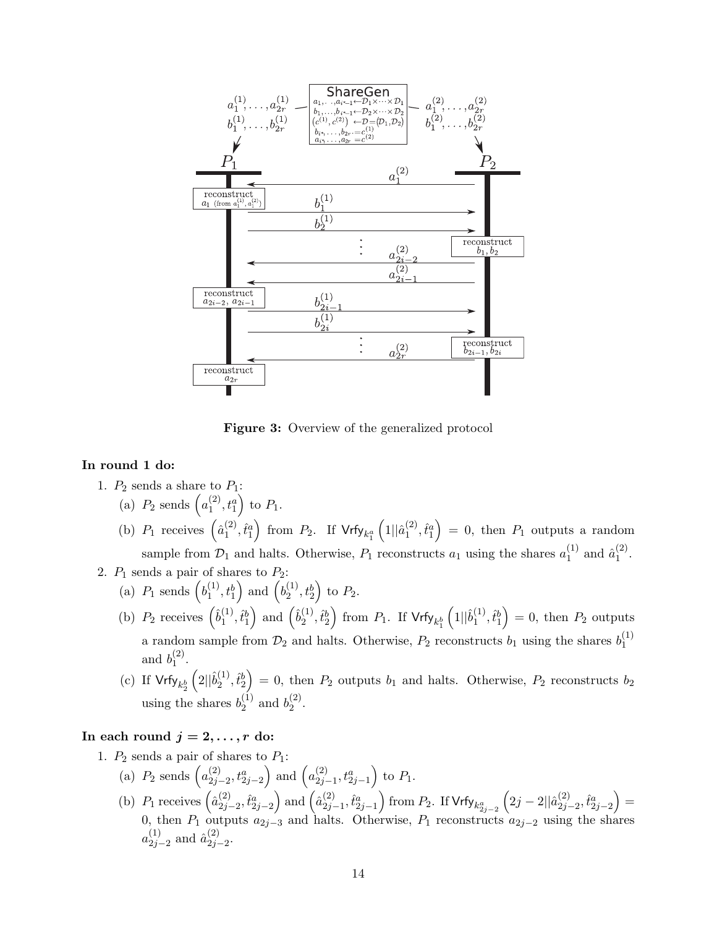

**Figure 3:** Overview of the generalized protocol

# **In round 1 do:**

- 1.  $P_2$  sends a share to  $P_1$ :
	- (a)  $P_2$  sends  $\left(a_1^{(2)}\right)$  $\binom{(2)}{1}, t_1^a$ ) to  $P_1$ .
	- (b)  $P_1$  receives  $\left(\hat{a}_1^{(2)}\right)$  $\hat{t}^{(2)}_1, \hat{t}^a_1$  $\int$  from  $P_2$ . If  $Vrfy_{k_1^a}$  $(1||\hat{a}_1^{(2)}$  $\hat{t}_1^{(2)}, \hat{t}_1^a$  $= 0$ , then  $P_1$  outputs a random sample from  $\mathcal{D}_1$  and halts. Otherwise,  $P_1$  reconstructs  $a_1$  using the shares  $a_1^{(1)}$  $\hat{a}_1^{(1)}$  and  $\hat{a}_1^{(2)}$  $\frac{(2)}{1}$ .
- 2.  $P_1$  sends a pair of shares to  $P_2$ : (a)  $P_1$  sends  $\left(b_1^{(1)}\right)$  $t_1^{(1)}, t_1^b$ ) and  $\left(b_2^{(1)}\right)$  $\binom{11}{2}, \binom{b}{2}$ ) to  $P_2$ .
	- (b)  $P_2$  receives  $\left(\hat{b}_1^{(1)}\right)$  $\hat{t}_1^{(1)}, \hat{t}_1^{b}$ ) and  $(\hat{b}_2^{(1)})$  $\hat{t}_2^{(1)}, \hat{t}_2^{b}$  $\int$  from  $P_1$ . If  $\mathsf{Vrfy}_{k_1^b}$  $(1||\hat{b}_1^{(1)}$  $\hat{t}_1^{(1)}, \hat{t}_1^{b}$  $= 0$ , then  $P_2$  outputs a random sample from  $\mathcal{D}_2$  and halts. Otherwise,  $P_2$  reconstructs  $b_1$  using the shares  $b_1^{(1)}$ 1 and  $b_1^{(2)}$  $\binom{2}{1}$ .
	- (c) If  $\mathsf{Vrfy}_{k^b_2}$  $\sqrt{2||\hat{b}_2^{(1)}}$  $\hat{t}_2^{(1)}, \hat{t}_2^{b}$  $= 0$ , then  $P_2$  outputs  $b_1$  and halts. Otherwise,  $P_2$  reconstructs  $b_2$ using the shares  $b_2^{(1)}$  $b_2^{(1)}$  and  $b_2^{(2)}$  $2^{(2)}$ .

# In each round  $j = 2, \ldots, r$  do:

- 1.  $P_2$  sends a pair of shares to  $P_1$ :
	- (a)  $P_2$  sends  $\left( a_{2i}^{(2)} \right)$ 2*j−*2 *, t<sup>a</sup>* 2*j−*2 ) and  $\left(a_{2i}^{(2)}\right)$ 2*j−*1 *, t<sup>a</sup>* 2*j−*1 ) to  $P_1$ .
	- (b)  $P_1$  receives  $\left(\hat{a}_{2i}^{(2)}\right)$ 2*j−*2 *,t*ˆ*<sup>a</sup>* 2*j−*2 ) and  $\left(\hat{a}_{2i}^{(2)}\right)$  $\hat{t}_{2j-1}^a, \hat{t}_{2j-1}^a$  $\int$  from *P*<sub>2</sub>. If Vrfy<sub>*k*<sup>*a*</sup></sup><sub>2*j*−2</sub></sub>  $\left(2j-2||\hat{a}_{2j-}^{(2)}\right)$ 2*j−*2 *,t*ˆ*<sup>a</sup>* 2*j−*2  $) =$ 0, then *P*<sup>1</sup> outputs *a*2*j−*<sup>3</sup> and halts. Otherwise, *P*<sup>1</sup> reconstructs *a*2*j−*<sup>2</sup> using the shares  $a_{2i}^{(1)}$  $_{2j-2}^{(1)}$  and  $\hat{a}_{2j}^{(2)}$ 2*j−*2 .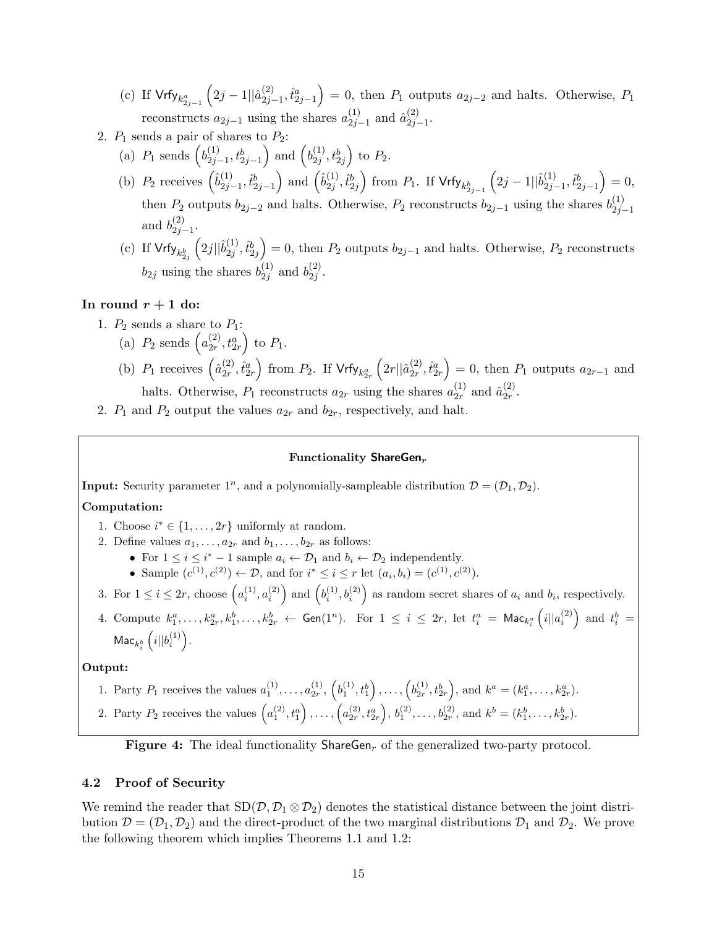- (c) If  $Vrfy_{k_{2j-1}^a}$  $\left(2j-1||\hat{a}_{2j-1}^{(2)}\right)$  $\hat{t}_{2j-1}^a, \hat{t}_{2j-1}^a$  $= 0$ , then  $P_1$  outputs  $a_{2j-2}$  and halts. Otherwise,  $P_1$ reconstructs  $a_{2j-1}$  using the shares  $a_{2j}^{(1)}$  $\binom{1}{2j-1}$  and  $\hat{a}_{2j}^{(2)}$ 2*j−*1 .
- 2.  $P_1$  sends a pair of shares to  $P_2$ :
	- (a)  $P_1$  sends  $(b_{2i}^{(1)}$ 2*j−*1 *, tb* 2*j−*1 ) and  $\left(b_{2i}^{(1)}\right)$  $\left(\begin{smallmatrix} 1\ 2j \end{smallmatrix}\right), t_{2j}^b$ ) to  $P_2$ .
	- (b)  $P_2$  receives  $\left(\hat{b}_{2j}^{(1)}\right)$  $\hat{t}^b_{2j-1}, \hat{t}^b_{2j-1}$ ) and  $(\hat{b}_{2i}^{(1)})$  $_{2j}^{(1)}, \hat{t}_{2j}^b$  $\int$  from *P*<sub>1</sub>. If  $Vrfy_{k_{2j-1}^b}$  $(2j-1||\hat{b}_{2j}^{(1)})$  $\hat{t}_{2j-1}^{b}, \hat{t}_{2j-1}^{b}$  $= 0,$ then  $P_2$  outputs  $b_{2j-2}$  and halts. Otherwise,  $P_2$  reconstructs  $b_{2j-1}$  using the shares  $b_{2j}^{(1)}$ 2*j−*1 and  $b_{2i}^{(2)}$ 2*j−*1 .
	- (c) If  $\mathsf{Vrfy}_{k^b_{2j}}$  $(2j||\hat{b}_{2j}^{(1)})$  $\hat{t}^{(1)}_{2j}, \hat{t}^{b}_{2j}$  $= 0$ , then  $P_2$  outputs  $b_{2j-1}$  and halts. Otherwise,  $P_2$  reconstructs  $b_{2j}$  using the shares  $b_{2j}^{(1)}$  $_{2j}^{(1)}$  and  $b_{2j}^{(2)}$  $\frac{(2)}{2j}$ .

## In round  $r + 1$  do:

- 1.  $P_2$  sends a share to  $P_1$ :
	- (a)  $P_2$  sends  $\left(a_{2r}^{(2)}\right)$  $\frac{(2)}{2r}, t^a_{2r}$ ) to  $P_1$ .
	- (b)  $P_1$  receives  $\left(\hat{a}_{2r}^{(2)}\right)$  $\hat{t}_{2r}^{(2)}, \hat{t}_{2r}^{a}$  $\int$  from  $P_2$ . If  $Vrfy_{k_{2r}^a}$  $\left(2r||\hat{a}_{2r}^{(2)}\right)$  $_{2r}^{(2)}, \hat{t}_{2r}^a$  $= 0$ , then  $P_1$  outputs  $a_{2r-1}$  and halts. Otherwise,  $P_1$  reconstructs  $a_{2r}$  using the shares  $a_{2r}^{(1)}$  $\binom{1}{2r}$  and  $\hat{a}_{2r}^{(2)}$  $\frac{(2)}{2r}$ .
- 2.  $P_1$  and  $P_2$  output the values  $a_{2r}$  and  $b_{2r}$ , respectively, and halt.

### **Functionality ShareGen***<sup>r</sup>*

**Input:** Security parameter  $1^n$ , and a polynomially-sampleable distribution  $\mathcal{D} = (\mathcal{D}_1, \mathcal{D}_2)$ .

# **Computation:**

- 1. Choose  $i^* \in \{1, \ldots, 2r\}$  uniformly at random.
- 2. Define values  $a_1, \ldots, a_{2r}$  and  $b_1, \ldots, b_{2r}$  as follows:
	- For  $1 \leq i \leq i^* 1$  sample  $a_i \leftarrow \mathcal{D}_1$  and  $b_i \leftarrow \mathcal{D}_2$  independently.
	- Sample  $(c^{(1)}, c^{(2)}) \leftarrow \mathcal{D}$ , and for  $i^* \leq i \leq r$  let  $(a_i, b_i) = (c^{(1)}, c^{(2)})$ .
- 3. For  $1 \leq i \leq 2r$ , choose  $\left(a_i^{(1)}, a_i^{(2)}\right)$  and  $\left(b_i^{(1)}, b_i^{(2)}\right)$  as random secret shares of  $a_i$  and  $b_i$ , respectively.
- 4. Compute  $k_1^a, \ldots, k_{2r}^a, k_1^b, \ldots, k_{2r}^b \leftarrow$  Gen $(1^n)$ . For  $1 \leq i \leq 2r$ , let  $t_i^a = \mathsf{Mac}_{k_i^a}$  $\left(i||a_i^{(2)}\right)$  and  $t_i^b$  =  $\mathsf{Mac}_{k_i^b}\left(i||b_i^{(1)}\right)$ .

## **Output:**

- 1. Party  $P_1$  receives the values  $a_1^{(1)}, \ldots, a_{2r}^{(1)}, \left(b_1^{(1)}, t_1^b\right), \ldots, \left(b_{2r}^{(1)}, t_{2r}^b\right),$  and  $k^a = (k_1^a, \ldots, k_{2r}^a)$ .
- 2. Party  $P_2$  receives the values  $(a_1^{(2)}, t_1^a), \ldots, (a_{2r}^{(2)}, t_{2r}^a), b_1^{(2)}, \ldots, b_{2r}^{(2)},$  and  $k^b = (k_1^b, \ldots, k_{2r}^b)$ .

**Figure 4:** The ideal functionality ShareGen*<sup>r</sup>* of the generalized two-party protocol.

## **4.2 Proof of Security**

*i*

We remind the reader that  $SD(\mathcal{D}, \mathcal{D}_1 \otimes \mathcal{D}_2)$  denotes the statistical distance between the joint distribution  $\mathcal{D} = (\mathcal{D}_1, \mathcal{D}_2)$  and the direct-product of the two marginal distributions  $\mathcal{D}_1$  and  $\mathcal{D}_2$ . We prove the following theorem which implies Theorems 1.1 and 1.2: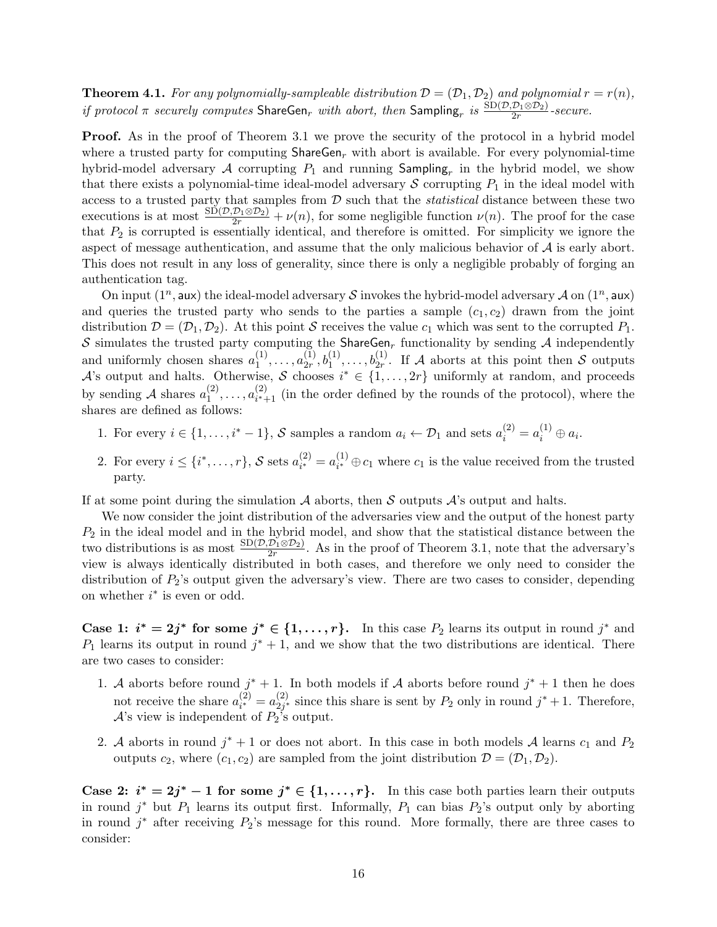**Theorem 4.1.** For any polynomially-sampleable distribution  $\mathcal{D} = (\mathcal{D}_1, \mathcal{D}_2)$  and polynomial  $r = r(n)$ , *if protocol*  $\pi$  *securely computes*  $\text{ShareGen}_r$  *with abort, then*  $\text{Sampling}_r$  *is*  $\frac{\text{SD}(\mathcal{D}, \mathcal{D}_1 \otimes \mathcal{D}_2)}{2r}$ -secure.

**Proof.** As in the proof of Theorem 3.1 we prove the security of the protocol in a hybrid model where a trusted party for computing ShareGen*<sup>r</sup>* with abort is available. For every polynomial-time hybrid-model adversary  $\mathcal A$  corrupting  $P_1$  and running  $\textsf{Sampling}_r$  in the hybrid model, we show that there exists a polynomial-time ideal-model adversary  $S$  corrupting  $P_1$  in the ideal model with access to a trusted party that samples from *D* such that the *statistical* distance between these two executions is at most  $\frac{\text{SD}(\mathcal{D}, \mathcal{D}_1 \otimes \mathcal{D}_2)}{2r} + \nu(n)$ , for some negligible function  $\nu(n)$ . The proof for the case that *P*<sup>2</sup> is corrupted is essentially identical, and therefore is omitted. For simplicity we ignore the aspect of message authentication, and assume that the only malicious behavior of *A* is early abort. This does not result in any loss of generality, since there is only a negligible probably of forging an authentication tag.

On input  $(1^n, \text{aux})$  the ideal-model adversary *S* invokes the hybrid-model adversary *A* on  $(1^n, \text{aux})$ and queries the trusted party who sends to the parties a sample  $(c_1, c_2)$  drawn from the joint distribution  $\mathcal{D} = (\mathcal{D}_1, \mathcal{D}_2)$ . At this point *S* receives the value  $c_1$  which was sent to the corrupted  $P_1$ . *S* simulates the trusted party computing the ShareGen<sub>r</sub> functionality by sending  $A$  independently and uniformly chosen shares  $a_1^{(1)}$  $a_{1}^{(1)}, \ldots, a_{2r}^{(1)}$  $\mathcal{L}_{2r}^{(1)}, \mathcal{b}_1^{(1)}, \ldots, \mathcal{b}_{2r}^{(1)}$ . If *A* aborts at this point then *S* outputs *A*'s output and halts. Otherwise, *S* chooses  $i^* \in \{1, \ldots, 2r\}$  uniformly at random, and proceeds by sending A shares  $a_1^{(2)}$  $a_1^{(2)}, \ldots, a_{i^*+1}^{(2)}$  $i_{i+1}^{(2)}$  (in the order defined by the rounds of the protocol), where the shares are defined as follows:

- 1. For every  $i \in \{1, \ldots, i^* 1\}$ , *S* samples a random  $a_i \leftarrow \mathcal{D}_1$  and sets  $a_i^{(2)} = a_i^{(1)} \oplus a_i$ .
- 2. For every  $i \leq \{i^*, \ldots, r\}$ , *S* sets  $a_{i^*}^{(2)}$  $a_i^{(2)} = a_i^{(1)}$  $i^{(1)}$  ⊕  $c_1$  where  $c_1$  is the value received from the trusted party.

If at some point during the simulation  $A$  aborts, then  $S$  outputs  $A$ 's output and halts.

We now consider the joint distribution of the adversaries view and the output of the honest party *P*<sup>2</sup> in the ideal model and in the hybrid model, and show that the statistical distance between the two distributions is as most  $\frac{\text{SD}(\mathcal{D}, \mathcal{D}_1 \otimes \mathcal{D}_2)}{2r}$ . As in the proof of Theorem 3.1, note that the adversary's view is always identically distributed in both cases, and therefore we only need to consider the distribution of  $P_2$ 's output given the adversary's view. There are two cases to consider, depending on whether *i ∗* is even or odd.

**Case 1:**  $i^* = 2j^*$  for some  $j^* \in \{1, \ldots, r\}$ . In this case  $P_2$  learns its output in round  $j^*$  and  $P_1$  learns its output in round  $j^* + 1$ , and we show that the two distributions are identical. There are two cases to consider:

- 1. *A* aborts before round  $j^* + 1$ . In both models if *A* aborts before round  $j^* + 1$  then he does not receive the share  $a_{i*}^{(2)}$  $a_{i^*}^{(2)} = a_{2j^*}^{(2)}$  $\frac{2}{2}$ <sup>*i*</sup> since this share is sent by *P*<sub>2</sub> only in round *j*<sup>\*</sup> + 1. Therefore, *A*'s view is independent of *P*2's output.
- 2. *A* aborts in round  $j^* + 1$  or does not abort. In this case in both models *A* learns  $c_1$  and  $P_2$ outputs  $c_2$ , where  $(c_1, c_2)$  are sampled from the joint distribution  $\mathcal{D} = (\mathcal{D}_1, \mathcal{D}_2)$ .

**Case 2:**  $i^* = 2j^* - 1$  for some  $j^* \in \{1, \ldots, r\}$ . In this case both parties learn their outputs in round  $j^*$  but  $P_1$  learns its output first. Informally,  $P_1$  can bias  $P_2$ 's output only by aborting in round  $j^*$  after receiving  $P_2$ 's message for this round. More formally, there are three cases to consider: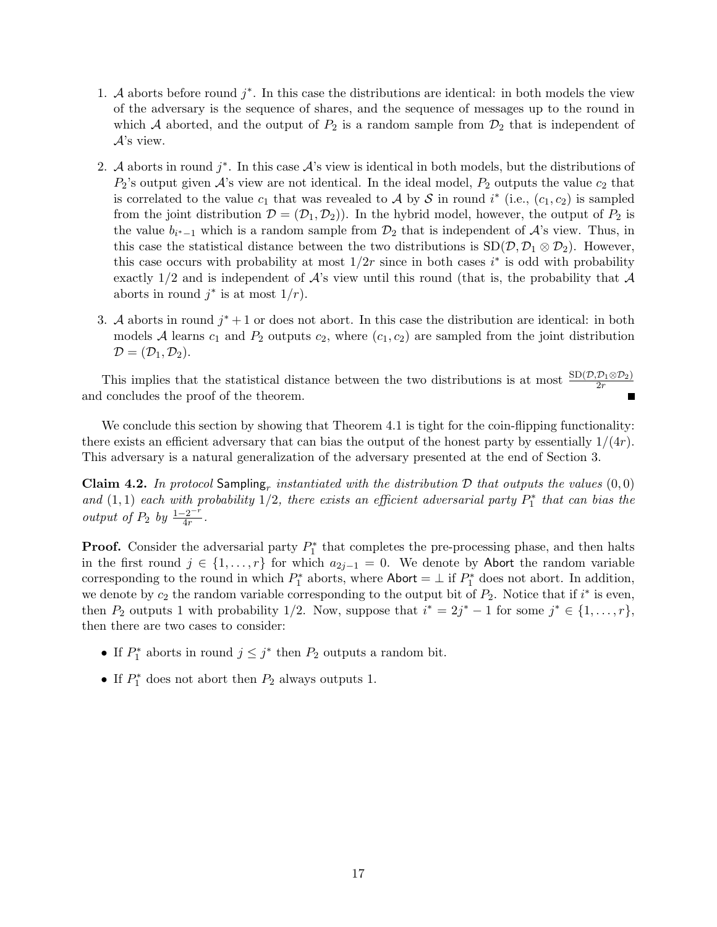- 1. *A* aborts before round *j ∗* . In this case the distributions are identical: in both models the view of the adversary is the sequence of shares, and the sequence of messages up to the round in which *A* aborted, and the output of  $P_2$  is a random sample from  $\mathcal{D}_2$  that is independent of *A*'s view.
- 2. *A* aborts in round  $j^*$ . In this case  $A$ 's view is identical in both models, but the distributions of  $P_2$ 's output given  $\mathcal{A}$ 's view are not identical. In the ideal model,  $P_2$  outputs the value  $c_2$  that is correlated to the value  $c_1$  that was revealed to *A* by *S* in round *i*<sup>\*</sup> (i.e.,  $(c_1, c_2)$  is sampled from the joint distribution  $\mathcal{D} = (\mathcal{D}_1, \mathcal{D}_2)$ . In the hybrid model, however, the output of  $P_2$  is the value  $b_{i^*-1}$  which is a random sample from  $\mathcal{D}_2$  that is independent of  $\mathcal{A}$ 's view. Thus, in this case the statistical distance between the two distributions is  $SD(\mathcal{D}, \mathcal{D}_1 \otimes \mathcal{D}_2)$ . However, this case occurs with probability at most  $1/2r$  since in both cases  $i^*$  is odd with probability exactly 1*/*2 and is independent of *A*'s view until this round (that is, the probability that *A* aborts in round  $j^*$  is at most  $1/r$ ).
- 3. *A* aborts in round  $j^* + 1$  or does not abort. In this case the distribution are identical: in both models *A* learns  $c_1$  and  $P_2$  outputs  $c_2$ , where  $(c_1, c_2)$  are sampled from the joint distribution  $\mathcal{D} = (\mathcal{D}_1, \mathcal{D}_2).$

This implies that the statistical distance between the two distributions is at most  $\frac{\text{SD}(\mathcal{D}, \mathcal{D}_1 \otimes \mathcal{D}_2)}{2r}$ and concludes the proof of the theorem.

We conclude this section by showing that Theorem 4.1 is tight for the coin-flipping functionality: there exists an efficient adversary that can bias the output of the honest party by essentially 1*/*(4*r*). This adversary is a natural generalization of the adversary presented at the end of Section 3.

**Claim 4.2.** In protocol Sampling<sub>r</sub> instantiated with the distribution  $D$  that outputs the values  $(0,0)$ *and*  $(1,1)$  *each with probability*  $1/2$ *, there exists an efficient adversarial party*  $P_1^*$  *that can bias the output of*  $P_2$  *by*  $\frac{1-2^{-r}}{4r}$ .

**Proof.** Consider the adversarial party  $P_1^*$  that completes the pre-processing phase, and then halts in the first round *j ∈ {*1*, . . . , r}* for which *a*2*j−*<sup>1</sup> = 0. We denote by Abort the random variable corresponding to the round in which  $P_1^*$  aborts, where  $\mathsf{Abort} = \perp$  if  $P_1^*$  does not abort. In addition, we denote by  $c_2$  the random variable corresponding to the output bit of  $P_2$ . Notice that if  $i^*$  is even, then  $P_2$  outputs 1 with probability 1/2. Now, suppose that  $i^* = 2j^* - 1$  for some  $j^* \in \{1, \ldots, r\}$ , then there are two cases to consider:

- If  $P_1^*$  aborts in round  $j \leq j^*$  then  $P_2$  outputs a random bit.
- If  $P_1^*$  does not abort then  $P_2$  always outputs 1.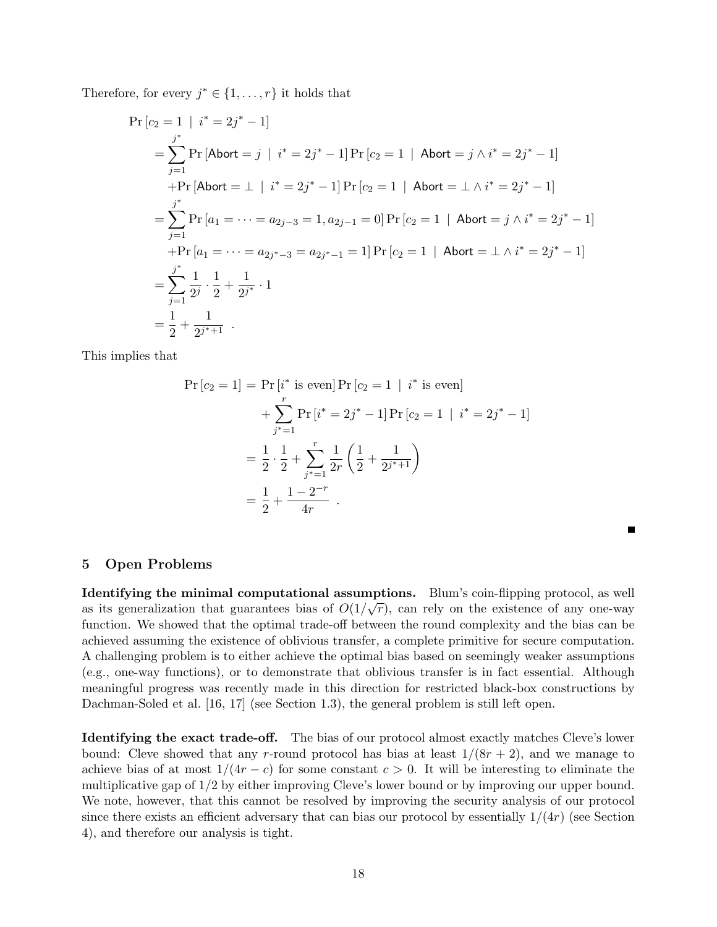Therefore, for every  $j^* \in \{1, \ldots, r\}$  it holds that

$$
\Pr\left[c_{2} = 1 \mid i^{*} = 2j^{*} - 1\right]
$$
\n
$$
= \sum_{j=1}^{j^{*}} \Pr\left[\text{Abort} = j \mid i^{*} = 2j^{*} - 1\right] \Pr\left[c_{2} = 1 \mid \text{Abort} = j \land i^{*} = 2j^{*} - 1\right]
$$
\n
$$
+ \Pr\left[\text{Abort} = \perp \mid i^{*} = 2j^{*} - 1\right] \Pr\left[c_{2} = 1 \mid \text{Abort} = \perp \land i^{*} = 2j^{*} - 1\right]
$$
\n
$$
= \sum_{j=1}^{j^{*}} \Pr\left[a_{1} = \dots = a_{2j-3} = 1, a_{2j-1} = 0\right] \Pr\left[c_{2} = 1 \mid \text{Abort} = j \land i^{*} = 2j^{*} - 1\right]
$$
\n
$$
+ \Pr\left[a_{1} = \dots = a_{2j^{*}-3} = a_{2j^{*}-1} = 1\right] \Pr\left[c_{2} = 1 \mid \text{Abort} = \perp \land i^{*} = 2j^{*} - 1\right]
$$
\n
$$
= \sum_{j=1}^{j^{*}} \frac{1}{2^{j}} \cdot \frac{1}{2} + \frac{1}{2^{j^{*}}} \cdot 1
$$
\n
$$
= \frac{1}{2} + \frac{1}{2^{j^{*}+1}}.
$$

This implies that

$$
\Pr[c_2 = 1] = \Pr[i^* \text{ is even}] \Pr[c_2 = 1 \mid i^* \text{ is even}]
$$
  
+ 
$$
\sum_{j^* = 1}^r \Pr[i^* = 2j^* - 1] \Pr[c_2 = 1 \mid i^* = 2j^* - 1]
$$
  
= 
$$
\frac{1}{2} \cdot \frac{1}{2} + \sum_{j^* = 1}^r \frac{1}{2r} \left( \frac{1}{2} + \frac{1}{2j^{*+1}} \right)
$$
  
= 
$$
\frac{1}{2} + \frac{1 - 2^{-r}}{4r}.
$$

П

# **5 Open Problems**

**Identifying the minimal computational assumptions.** Blum's coin-flipping protocol, as well as its generalization that guarantees bias of  $O(1/\sqrt{r})$ , can rely on the existence of any one-way function. We showed that the optimal trade-off between the round complexity and the bias can be achieved assuming the existence of oblivious transfer, a complete primitive for secure computation. A challenging problem is to either achieve the optimal bias based on seemingly weaker assumptions (e.g., one-way functions), or to demonstrate that oblivious transfer is in fact essential. Although meaningful progress was recently made in this direction for restricted black-box constructions by Dachman-Soled et al. [16, 17] (see Section 1.3), the general problem is still left open.

**Identifying the exact trade-off.** The bias of our protocol almost exactly matches Cleve's lower bound: Cleve showed that any *r*-round protocol has bias at least  $1/(8r + 2)$ , and we manage to achieve bias of at most  $1/(4r - c)$  for some constant  $c > 0$ . It will be interesting to eliminate the multiplicative gap of 1*/*2 by either improving Cleve's lower bound or by improving our upper bound. We note, however, that this cannot be resolved by improving the security analysis of our protocol since there exists an efficient adversary that can bias our protocol by essentially  $1/(4r)$  (see Section 4), and therefore our analysis is tight.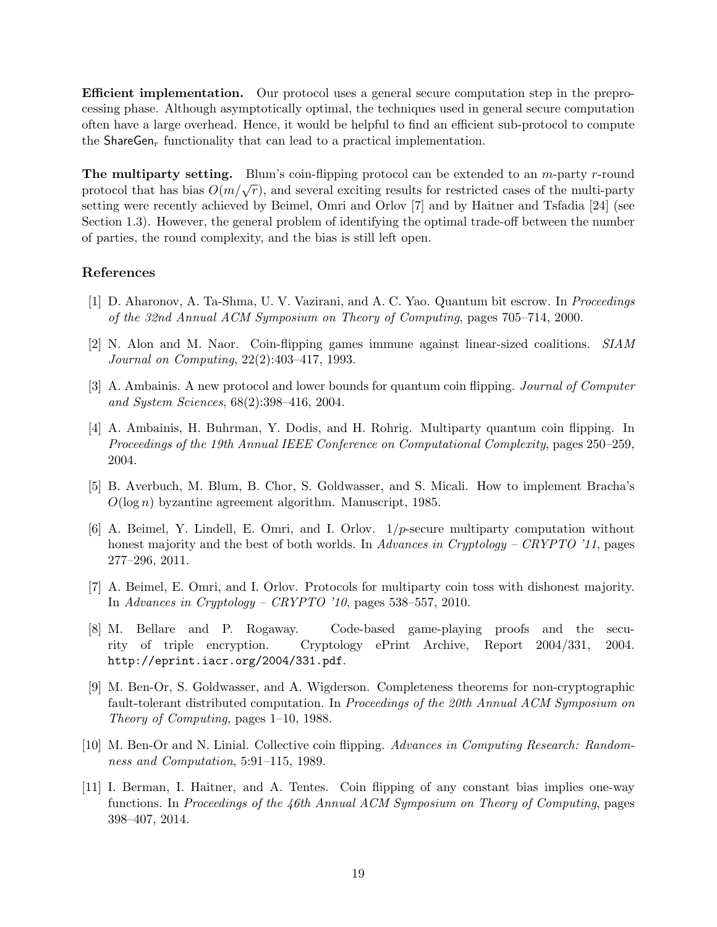**Efficient implementation.** Our protocol uses a general secure computation step in the preprocessing phase. Although asymptotically optimal, the techniques used in general secure computation often have a large overhead. Hence, it would be helpful to find an efficient sub-protocol to compute the ShareGen<sub>r</sub> functionality that can lead to a practical implementation.

**The multiparty setting.** Blum's coin-flipping protocol can be extended to an *m*-party *r*-round protocol that has bias  $O(m/\sqrt{r})$ , and several exciting results for restricted cases of the multi-party protocol setting were recently achieved by Beimel, Omri and Orlov [7] and by Haitner and Tsfadia [24] (see Section 1.3). However, the general problem of identifying the optimal trade-off between the number of parties, the round complexity, and the bias is still left open.

# **References**

- [1] D. Aharonov, A. Ta-Shma, U. V. Vazirani, and A. C. Yao. Quantum bit escrow. In *Proceedings of the 32nd Annual ACM Symposium on Theory of Computing*, pages 705–714, 2000.
- [2] N. Alon and M. Naor. Coin-flipping games immune against linear-sized coalitions. *SIAM Journal on Computing*, 22(2):403–417, 1993.
- [3] A. Ambainis. A new protocol and lower bounds for quantum coin flipping. *Journal of Computer and System Sciences*, 68(2):398–416, 2004.
- [4] A. Ambainis, H. Buhrman, Y. Dodis, and H. Rohrig. Multiparty quantum coin flipping. In *Proceedings of the 19th Annual IEEE Conference on Computational Complexity*, pages 250–259, 2004.
- [5] B. Averbuch, M. Blum, B. Chor, S. Goldwasser, and S. Micali. How to implement Bracha's *O*(log *n*) byzantine agreement algorithm. Manuscript, 1985.
- [6] A. Beimel, Y. Lindell, E. Omri, and I. Orlov. 1*/p*-secure multiparty computation without honest majority and the best of both worlds. In *Advances in Cryptology – CRYPTO '11*, pages 277–296, 2011.
- [7] A. Beimel, E. Omri, and I. Orlov. Protocols for multiparty coin toss with dishonest majority. In *Advances in Cryptology – CRYPTO '10*, pages 538–557, 2010.
- [8] M. Bellare and P. Rogaway. Code-based game-playing proofs and the security of triple encryption. Cryptology ePrint Archive, Report 2004/331, 2004. http://eprint.iacr.org/2004/331.pdf.
- [9] M. Ben-Or, S. Goldwasser, and A. Wigderson. Completeness theorems for non-cryptographic fault-tolerant distributed computation. In *Proceedings of the 20th Annual ACM Symposium on Theory of Computing*, pages 1–10, 1988.
- [10] M. Ben-Or and N. Linial. Collective coin flipping. *Advances in Computing Research: Randomness and Computation*, 5:91–115, 1989.
- [11] I. Berman, I. Haitner, and A. Tentes. Coin flipping of any constant bias implies one-way functions. In *Proceedings of the 46th Annual ACM Symposium on Theory of Computing*, pages 398–407, 2014.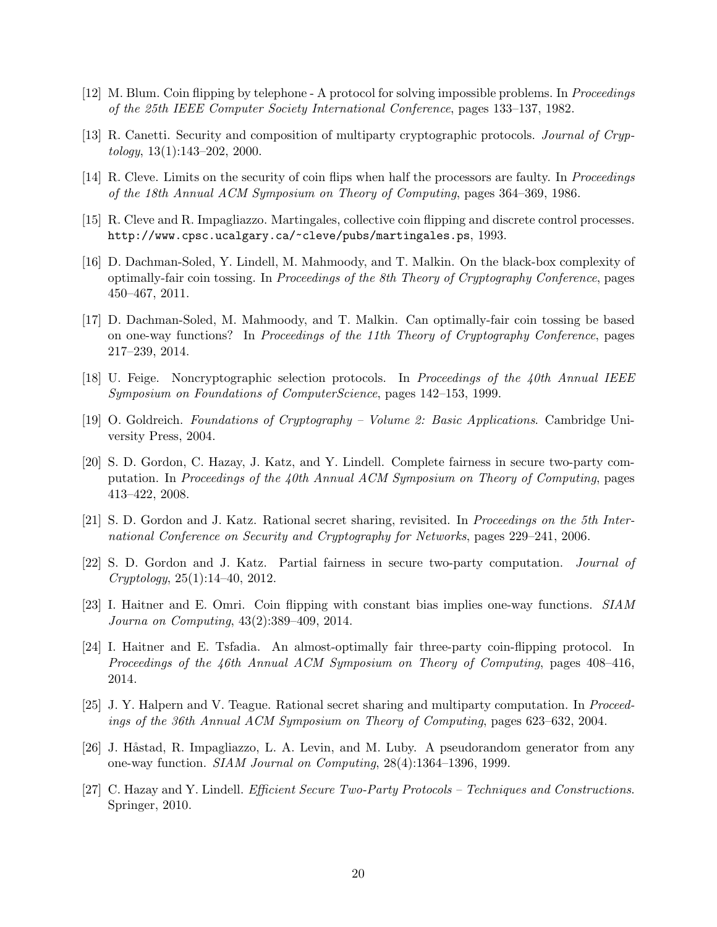- [12] M. Blum. Coin flipping by telephone A protocol for solving impossible problems. In *Proceedings of the 25th IEEE Computer Society International Conference*, pages 133–137, 1982.
- [13] R. Canetti. Security and composition of multiparty cryptographic protocols. *Journal of Cryptology*, 13(1):143–202, 2000.
- [14] R. Cleve. Limits on the security of coin flips when half the processors are faulty. In *Proceedings of the 18th Annual ACM Symposium on Theory of Computing*, pages 364–369, 1986.
- [15] R. Cleve and R. Impagliazzo. Martingales, collective coin flipping and discrete control processes. http://www.cpsc.ucalgary.ca/~cleve/pubs/martingales.ps, 1993.
- [16] D. Dachman-Soled, Y. Lindell, M. Mahmoody, and T. Malkin. On the black-box complexity of optimally-fair coin tossing. In *Proceedings of the 8th Theory of Cryptography Conference*, pages 450–467, 2011.
- [17] D. Dachman-Soled, M. Mahmoody, and T. Malkin. Can optimally-fair coin tossing be based on one-way functions? In *Proceedings of the 11th Theory of Cryptography Conference*, pages 217–239, 2014.
- [18] U. Feige. Noncryptographic selection protocols. In *Proceedings of the 40th Annual IEEE Symposium on Foundations of ComputerScience*, pages 142–153, 1999.
- [19] O. Goldreich. *Foundations of Cryptography Volume 2: Basic Applications*. Cambridge University Press, 2004.
- [20] S. D. Gordon, C. Hazay, J. Katz, and Y. Lindell. Complete fairness in secure two-party computation. In *Proceedings of the 40th Annual ACM Symposium on Theory of Computing*, pages 413–422, 2008.
- [21] S. D. Gordon and J. Katz. Rational secret sharing, revisited. In *Proceedings on the 5th International Conference on Security and Cryptography for Networks*, pages 229–241, 2006.
- [22] S. D. Gordon and J. Katz. Partial fairness in secure two-party computation. *Journal of Cryptology*, 25(1):14–40, 2012.
- [23] I. Haitner and E. Omri. Coin flipping with constant bias implies one-way functions. *SIAM Journa on Computing*, 43(2):389–409, 2014.
- [24] I. Haitner and E. Tsfadia. An almost-optimally fair three-party coin-flipping protocol. In *Proceedings of the 46th Annual ACM Symposium on Theory of Computing*, pages 408–416, 2014.
- [25] J. Y. Halpern and V. Teague. Rational secret sharing and multiparty computation. In *Proceedings of the 36th Annual ACM Symposium on Theory of Computing*, pages 623–632, 2004.
- [26] J. Håstad, R. Impagliazzo, L. A. Levin, and M. Luby. A pseudorandom generator from any one-way function. *SIAM Journal on Computing*, 28(4):1364–1396, 1999.
- [27] C. Hazay and Y. Lindell. *Efficient Secure Two-Party Protocols Techniques and Constructions*. Springer, 2010.